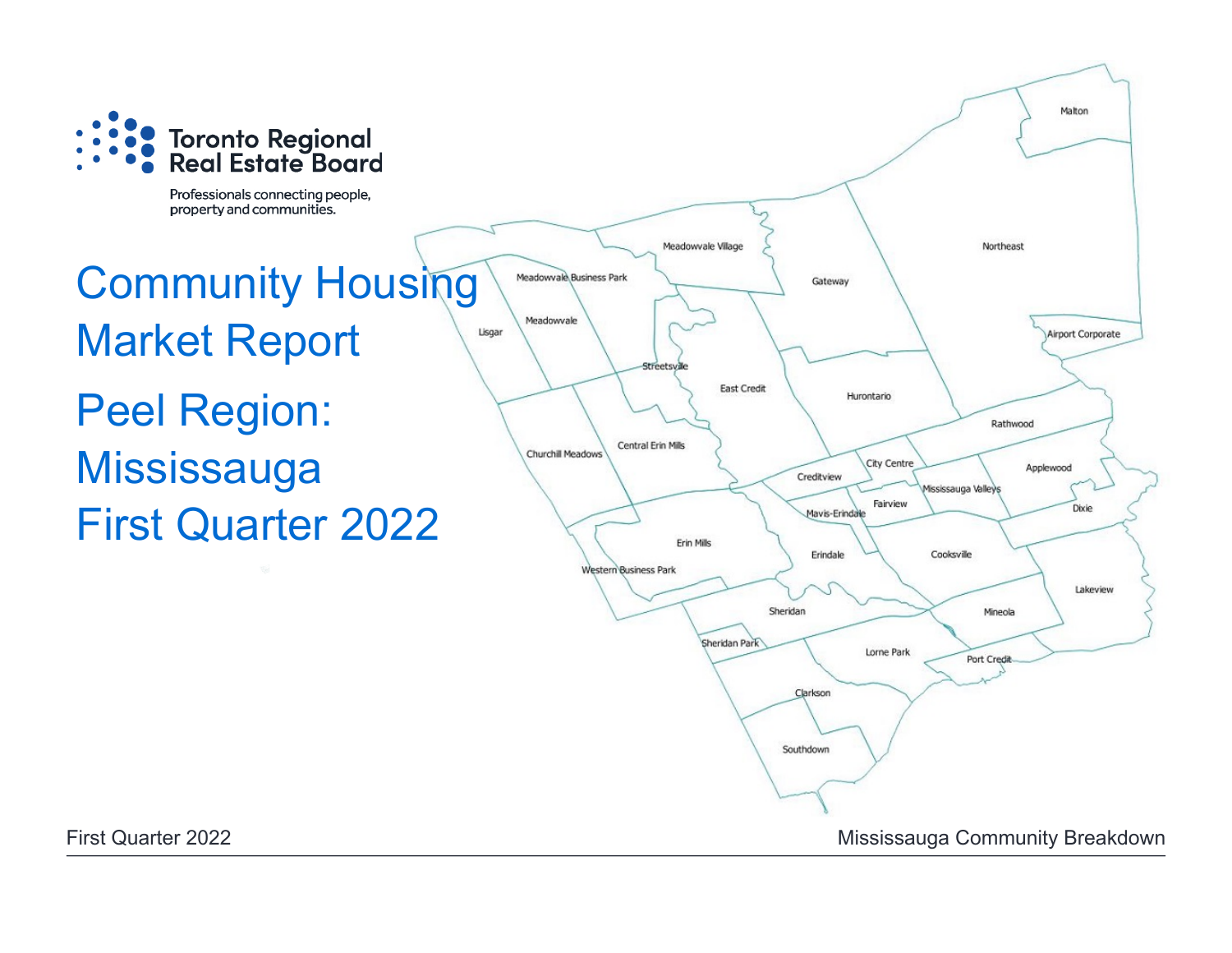

Professionals connecting people, property and communities.

# Community Housing Market Report Peel Region: **Mississauga** First Quarter 2022

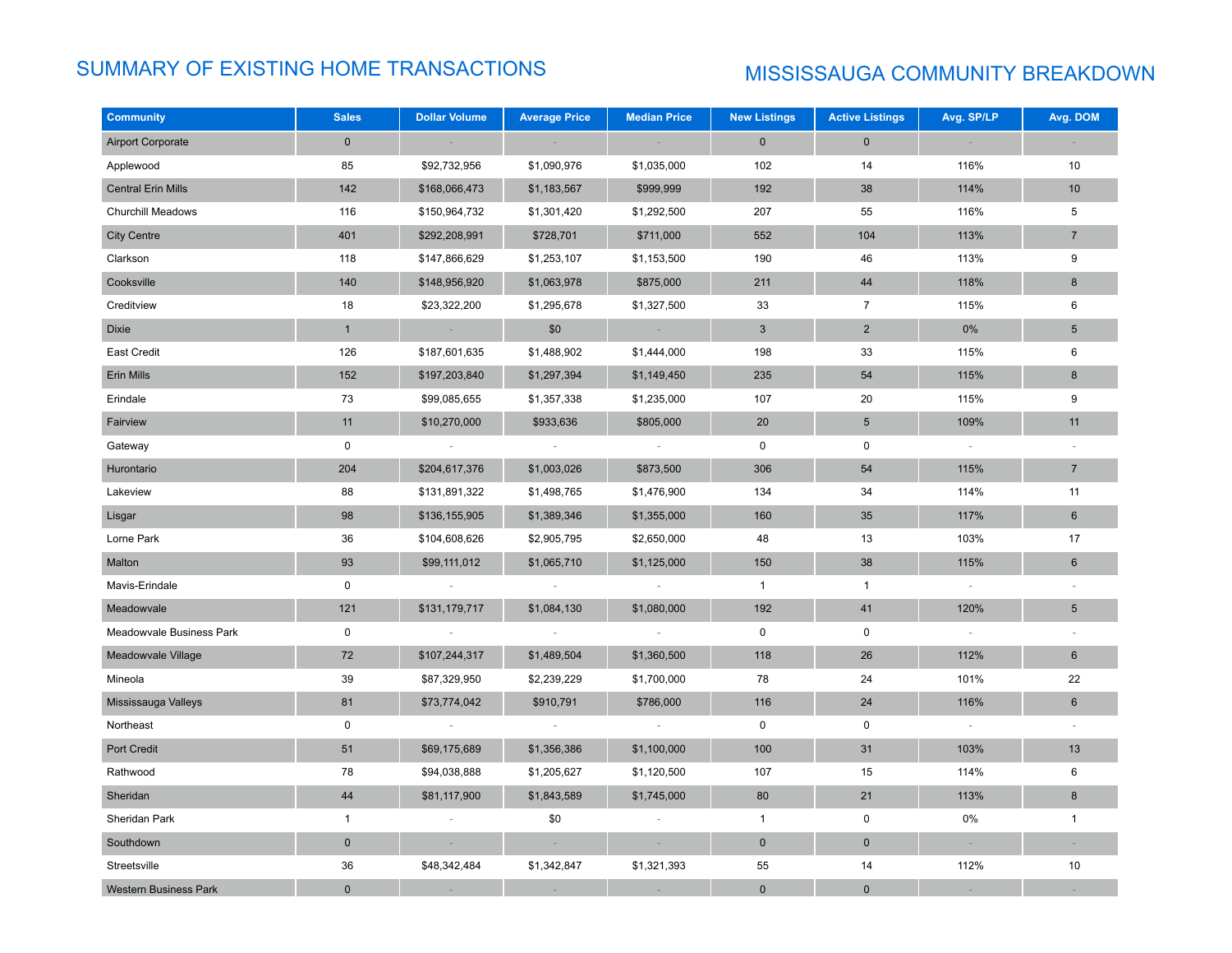# SUMMARY OF EXISTING HOME TRANSACTIONS MISSISSAUGA COMMUNITY BREAKDOWN

| <b>Community</b>             | <b>Sales</b> | <b>Dollar Volume</b> | <b>Average Price</b> | <b>Median Price</b> | <b>New Listings</b> | <b>Active Listings</b> | Avg. SP/LP | Avg. DOM       |
|------------------------------|--------------|----------------------|----------------------|---------------------|---------------------|------------------------|------------|----------------|
| <b>Airport Corporate</b>     | $\mathbf 0$  |                      |                      |                     | $\mathbf{0}$        | $\mathbf 0$            |            |                |
| Applewood                    | 85           | \$92,732,956         | \$1,090,976          | \$1,035,000         | 102                 | 14                     | 116%       | 10             |
| <b>Central Erin Mills</b>    | 142          | \$168,066,473        | \$1,183,567          | \$999,999           | 192                 | 38                     | 114%       | 10             |
| <b>Churchill Meadows</b>     | 116          | \$150,964,732        | \$1,301,420          | \$1,292,500         | 207                 | 55                     | 116%       | 5              |
| <b>City Centre</b>           | 401          | \$292,208,991        | \$728,701            | \$711,000           | 552                 | 104                    | 113%       | $\overline{7}$ |
| Clarkson                     | 118          | \$147,866,629        | \$1,253,107          | \$1,153,500         | 190                 | 46                     | 113%       | 9              |
| Cooksville                   | 140          | \$148,956,920        | \$1,063,978          | \$875,000           | 211                 | 44                     | 118%       | 8              |
| Creditview                   | 18           | \$23,322,200         | \$1,295,678          | \$1,327,500         | 33                  | $\overline{7}$         | 115%       | 6              |
| Dixie                        | $\mathbf{1}$ |                      | \$0                  |                     | $\mathbf{3}$        | $\overline{c}$         | 0%         | 5              |
| East Credit                  | 126          | \$187,601,635        | \$1,488,902          | \$1,444,000         | 198                 | 33                     | 115%       | 6              |
| Erin Mills                   | 152          | \$197,203,840        | \$1,297,394          | \$1,149,450         | 235                 | 54                     | 115%       | 8              |
| Erindale                     | 73           | \$99,085,655         | \$1,357,338          | \$1,235,000         | 107                 | 20                     | 115%       | 9              |
| Fairview                     | 11           | \$10,270,000         | \$933,636            | \$805,000           | 20                  | $5\phantom{.0}$        | 109%       | 11             |
| Gateway                      | $\mathbf 0$  |                      |                      | $\sim$              | 0                   | 0                      | $\sim$     |                |
| Hurontario                   | 204          | \$204,617,376        | \$1,003,026          | \$873,500           | 306                 | 54                     | 115%       | $\sqrt{7}$     |
| Lakeview                     | 88           | \$131,891,322        | \$1,498,765          | \$1,476,900         | 134                 | 34                     | 114%       | 11             |
| Lisgar                       | 98           | \$136,155,905        | \$1,389,346          | \$1,355,000         | 160                 | 35                     | 117%       | $6\phantom{a}$ |
| Lorne Park                   | 36           | \$104,608,626        | \$2,905,795          | \$2,650,000         | 48                  | 13                     | 103%       | 17             |
| Malton                       | 93           | \$99,111,012         | \$1,065,710          | \$1,125,000         | 150                 | 38                     | 115%       | 6              |
| Mavis-Erindale               | $\mathbf 0$  |                      |                      |                     | $\mathbf{1}$        | $\mathbf{1}$           |            |                |
| Meadowvale                   | 121          | \$131,179,717        | \$1,084,130          | \$1,080,000         | 192                 | 41                     | 120%       | $\overline{5}$ |
| Meadowvale Business Park     | $\mathsf 0$  |                      |                      |                     | $\mathsf 0$         | $\mathsf 0$            |            |                |
| Meadowvale Village           | 72           | \$107,244,317        | \$1,489,504          | \$1,360,500         | 118                 | 26                     | 112%       | $6\phantom{1}$ |
| Mineola                      | 39           | \$87,329,950         | \$2,239,229          | \$1,700,000         | 78                  | 24                     | 101%       | 22             |
| Mississauga Valleys          | 81           | \$73,774,042         | \$910,791            | \$786,000           | 116                 | 24                     | 116%       | 6              |
| Northeast                    | $\mathsf 0$  |                      |                      |                     | $\mathbf 0$         | 0                      | $\sim$     |                |
| Port Credit                  | 51           | \$69,175,689         | \$1,356,386          | \$1,100,000         | 100                 | 31                     | 103%       | 13             |
| Rathwood                     | 78           | \$94,038,888         | \$1,205,627          | \$1,120,500         | 107                 | 15                     | 114%       | 6              |
| Sheridan                     | 44           | \$81,117,900         | \$1,843,589          | \$1,745,000         | 80                  | 21                     | 113%       | 8              |
| Sheridan Park                | $\mathbf{1}$ |                      | \$0                  |                     | $\mathbf{1}$        | 0                      | 0%         | $\mathbf{1}$   |
| Southdown                    | $\mathbf 0$  |                      |                      |                     | $\mathbf 0$         | $\pmb{0}$              |            |                |
| Streetsville                 | 36           | \$48,342,484         | \$1,342,847          | \$1,321,393         | 55                  | 14                     | 112%       | 10             |
| <b>Western Business Park</b> | $\mathbf 0$  |                      |                      |                     | $\mathbf 0$         | $\mathbf 0$            |            |                |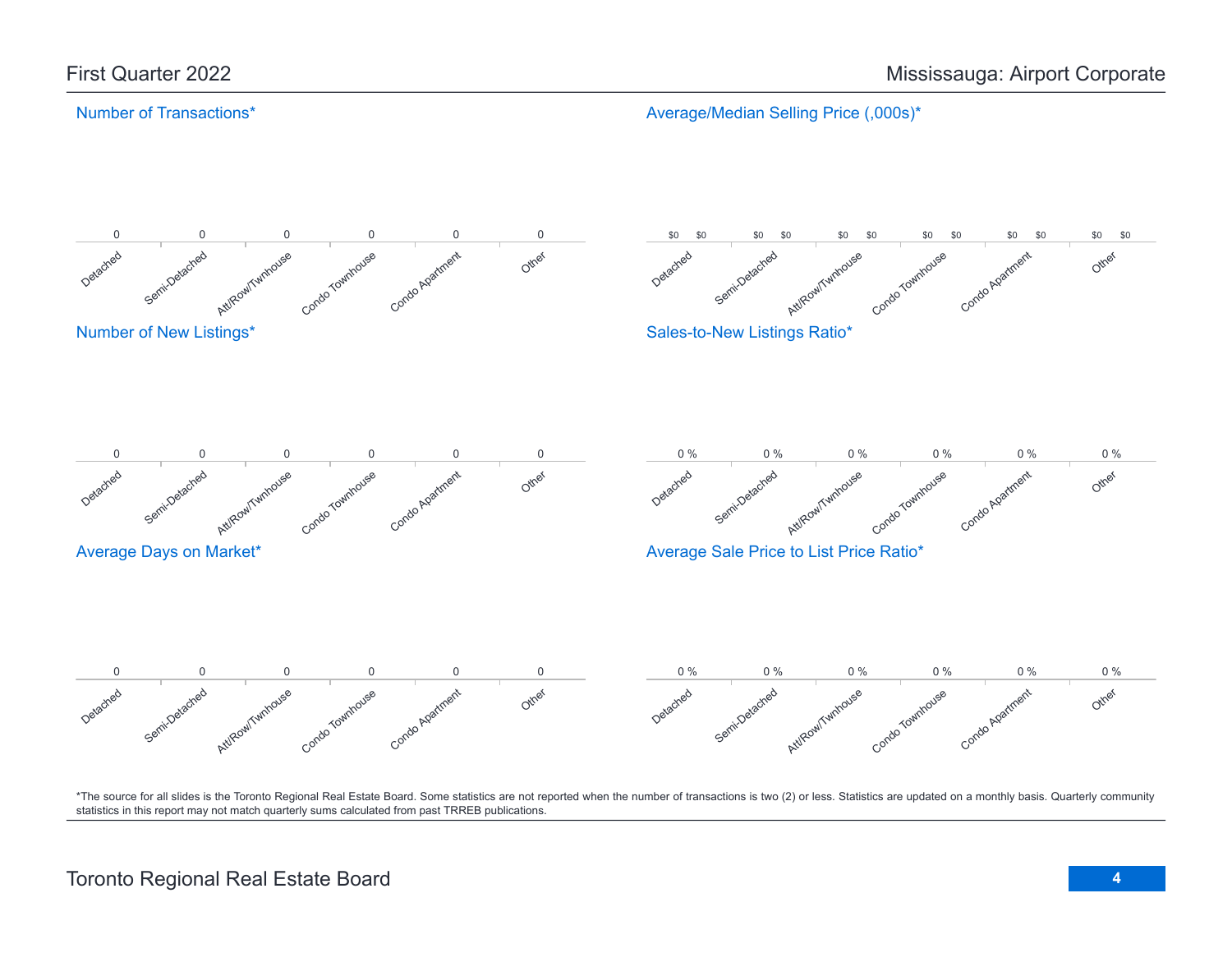# Number of Transactions\*

Average/Median Selling Price (,000s)\*

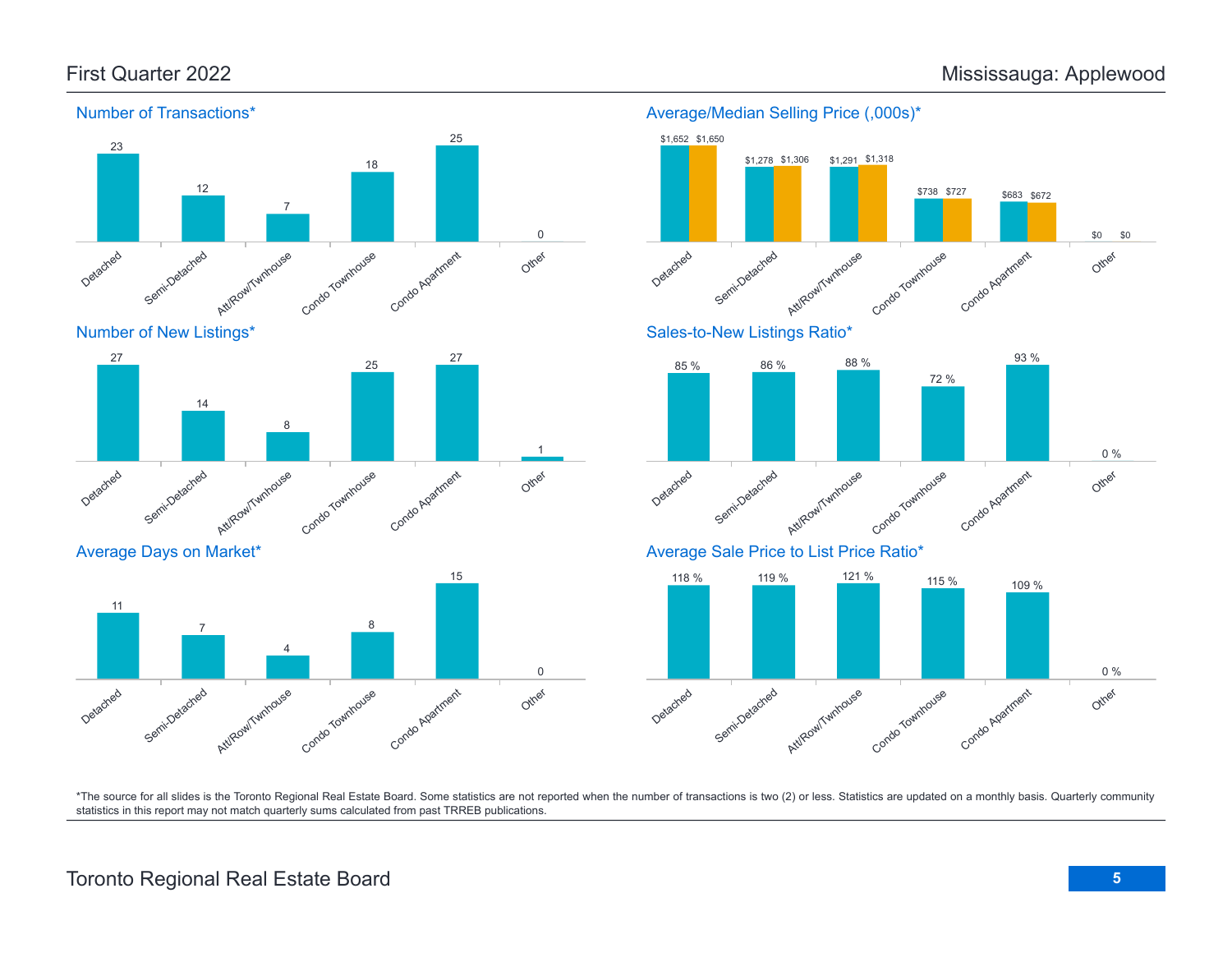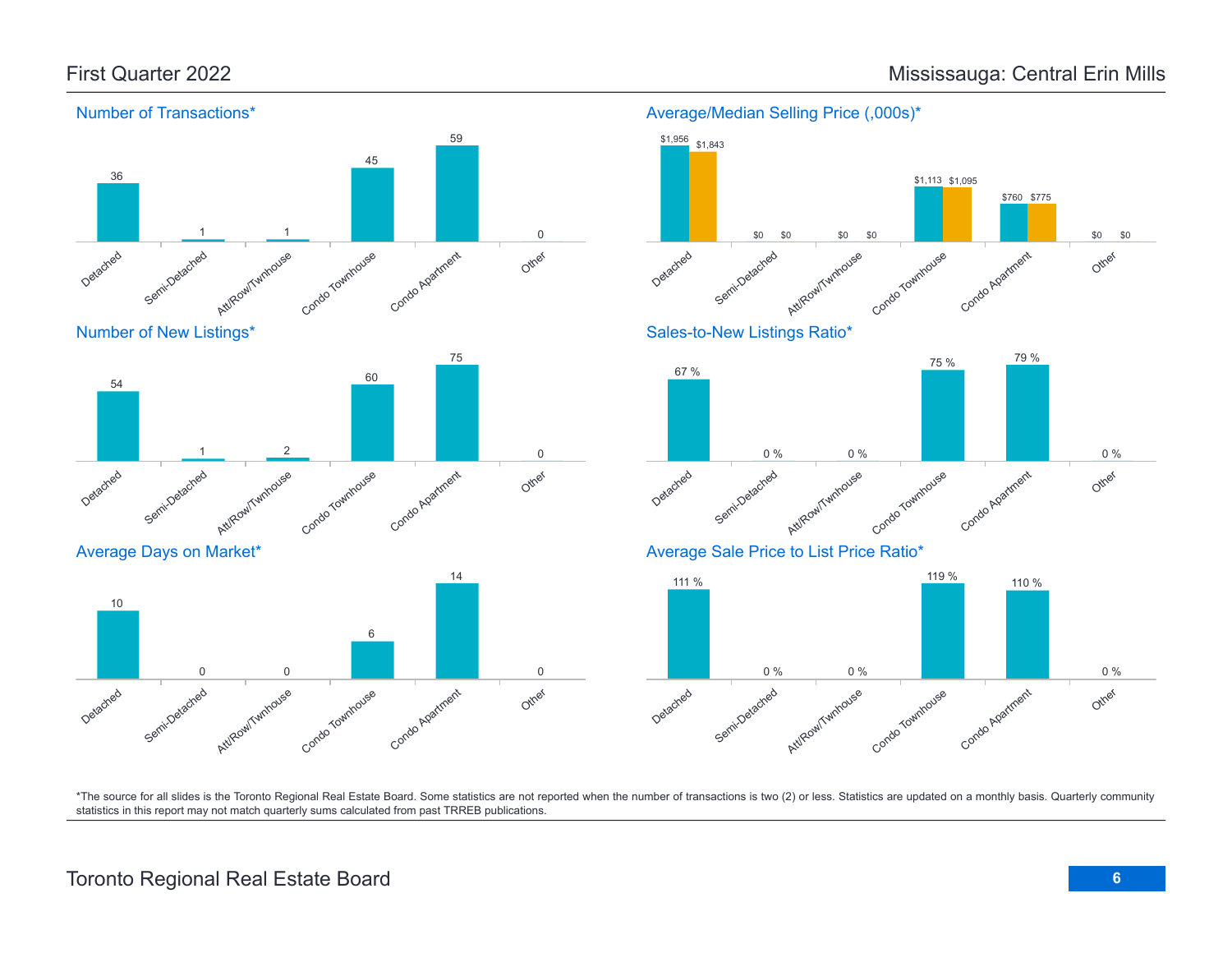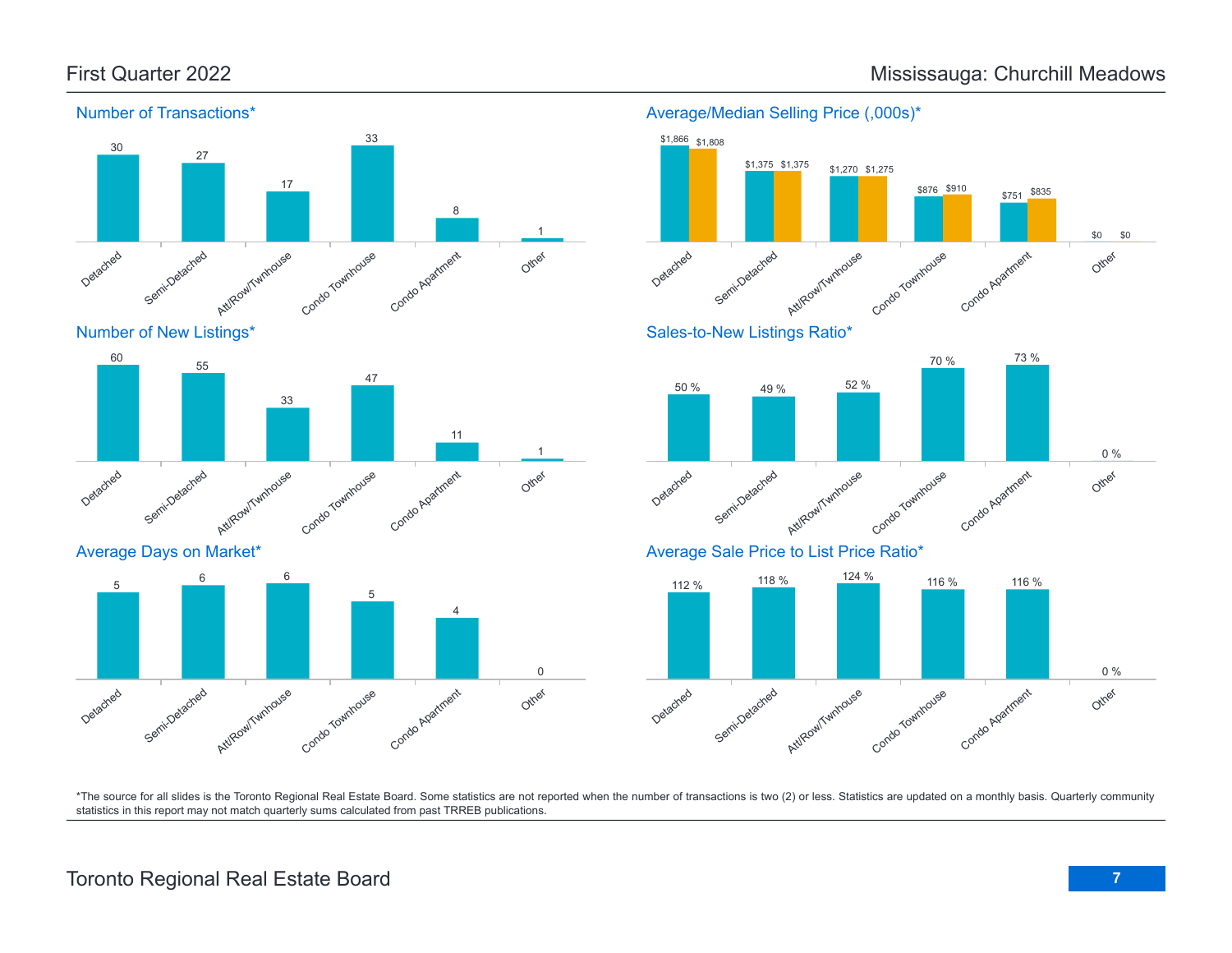

Number of New Listings\*



Average Days on Market\*





Average/Median Selling Price (,000s)\*

\*The source for all slides is the Toronto Regional Real Estate Board. Some statistics are not reported when the number of transactions is two (2) or less. Statistics are updated on a monthly basis. Quarterly community statistics in this report may not match quarterly sums calculated from past TRREB publications.

# First Quarter 2022 **Mississauga: Churchill Meadows** Mississauga: Churchill Meadows

# Toronto Regional Real Estate Board **7**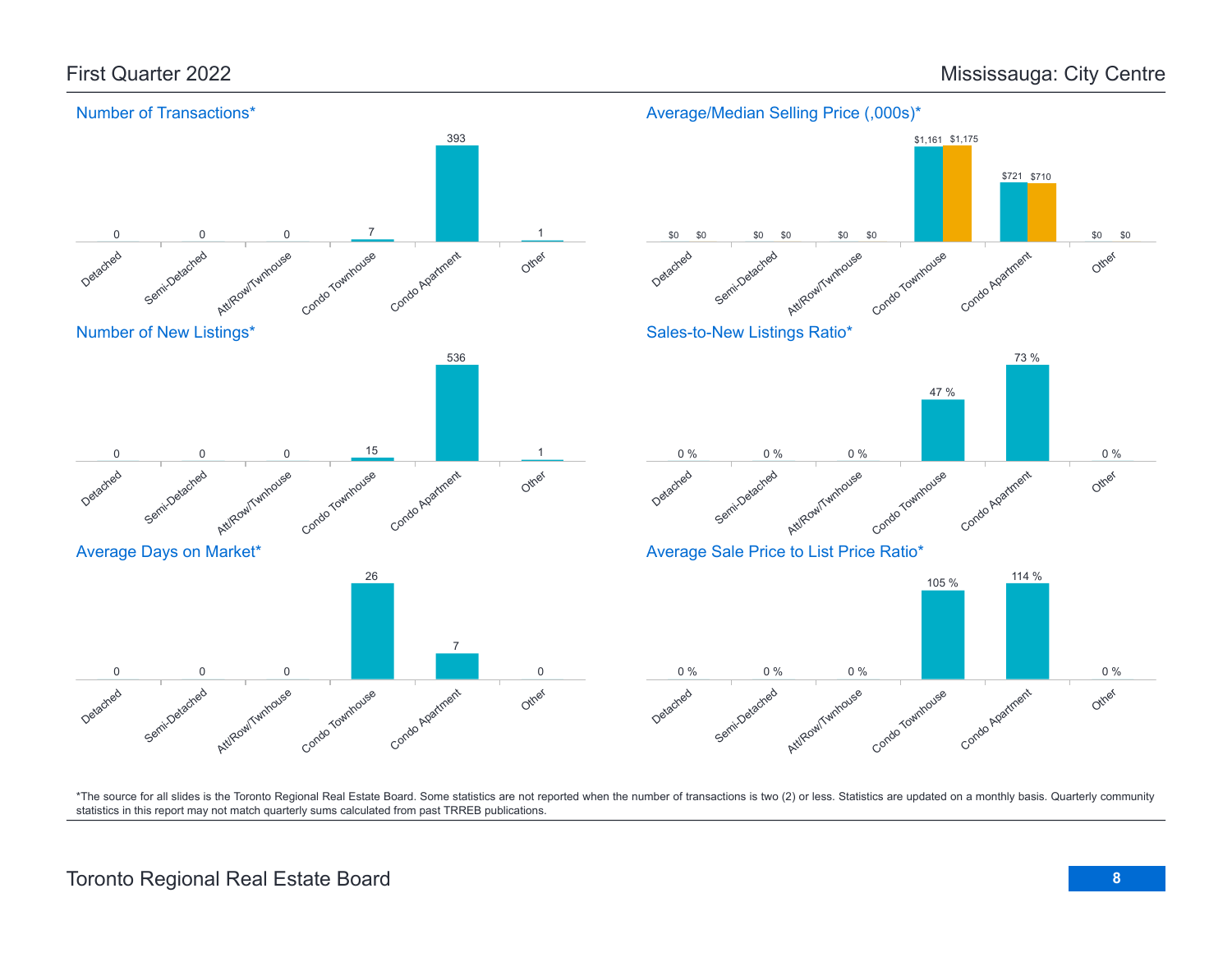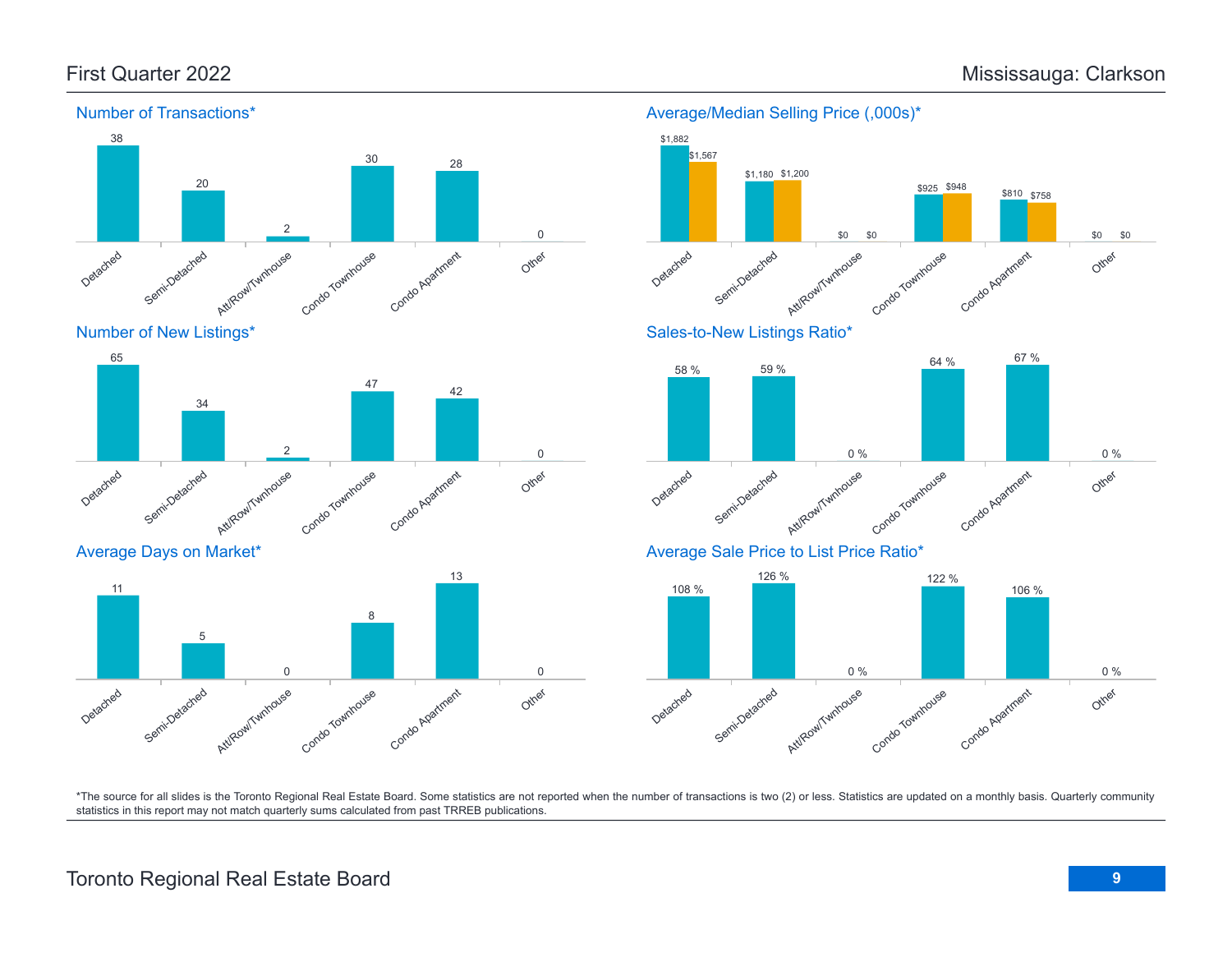

### Average/Median Selling Price (,000s)\*





Average Days on Market\*

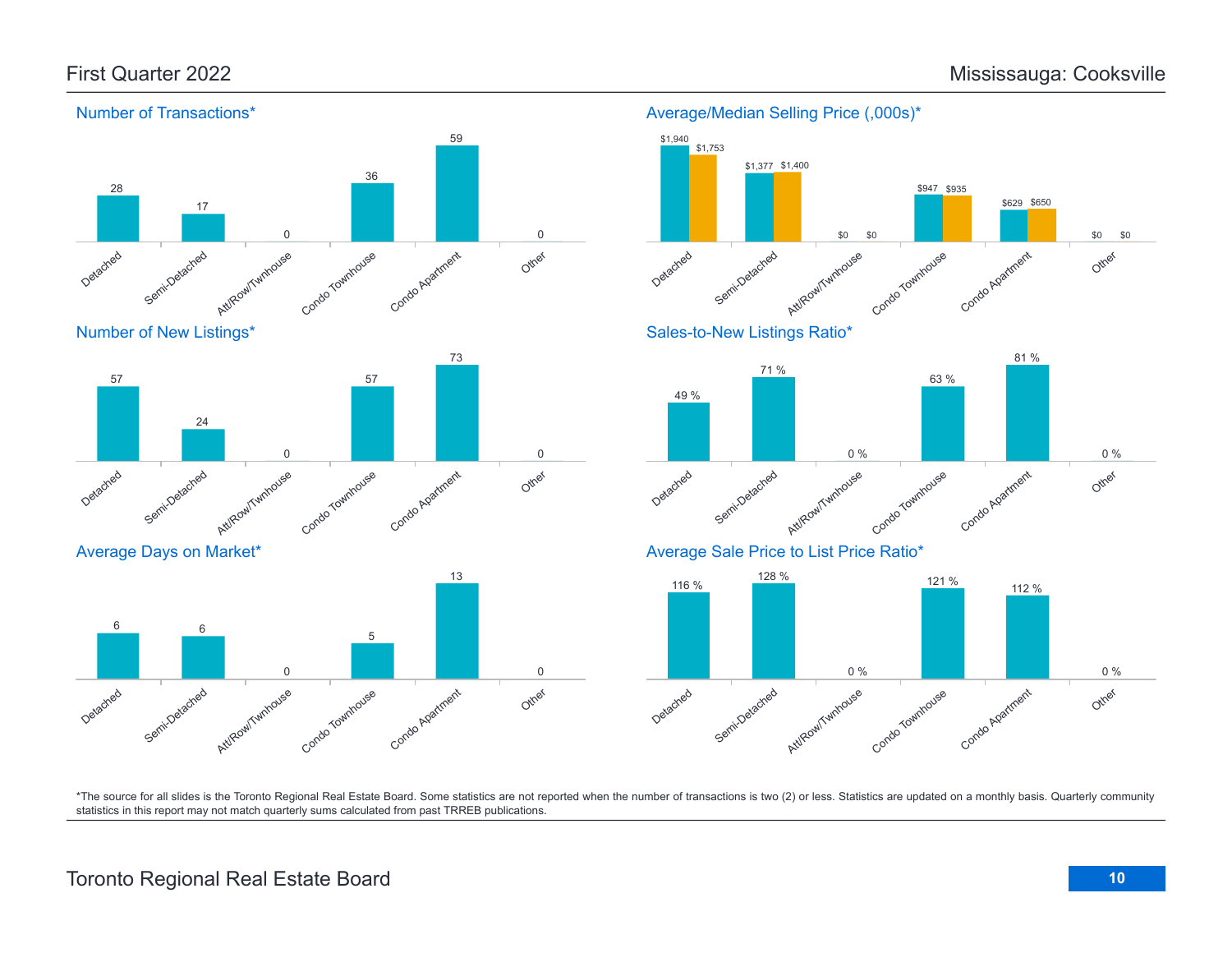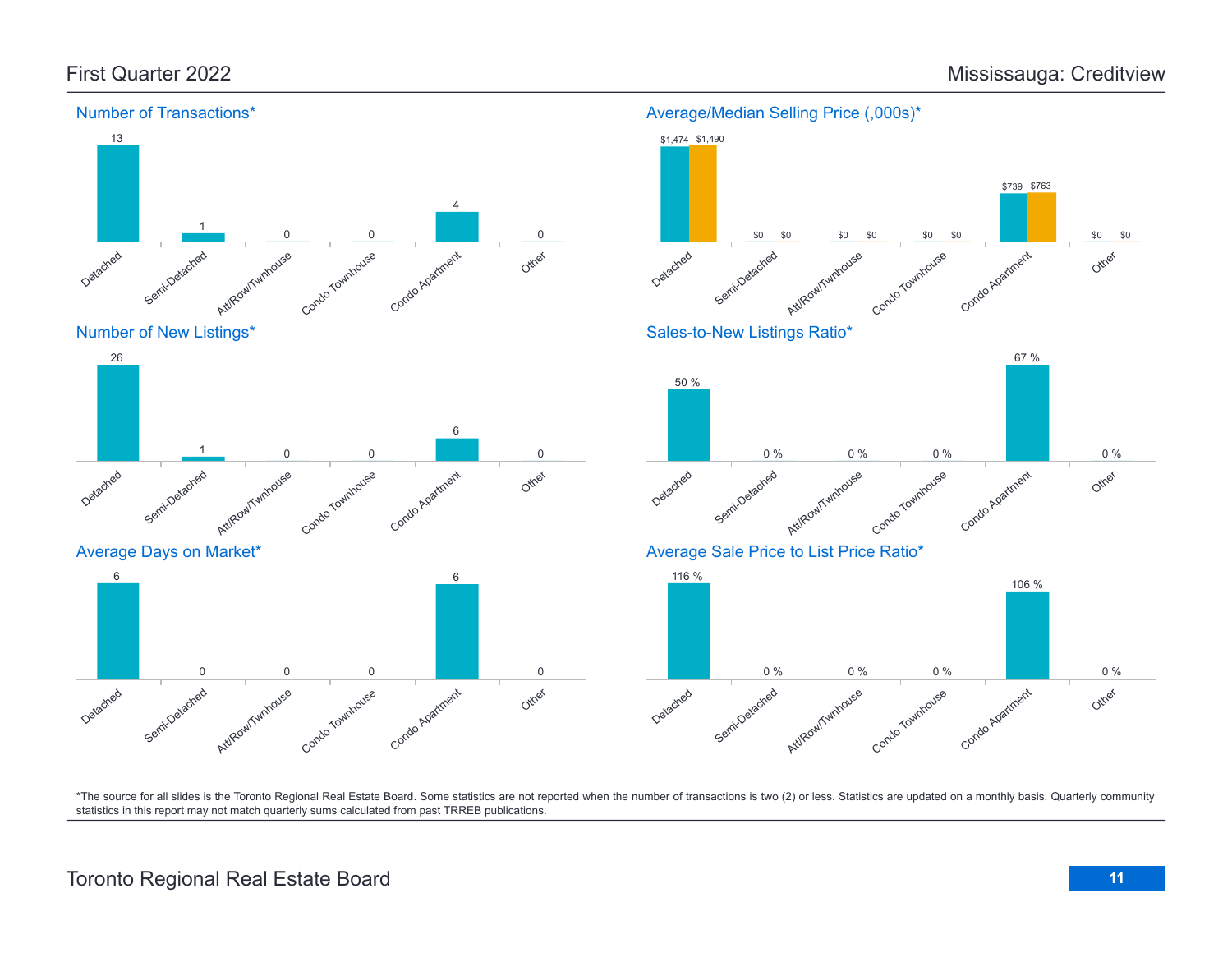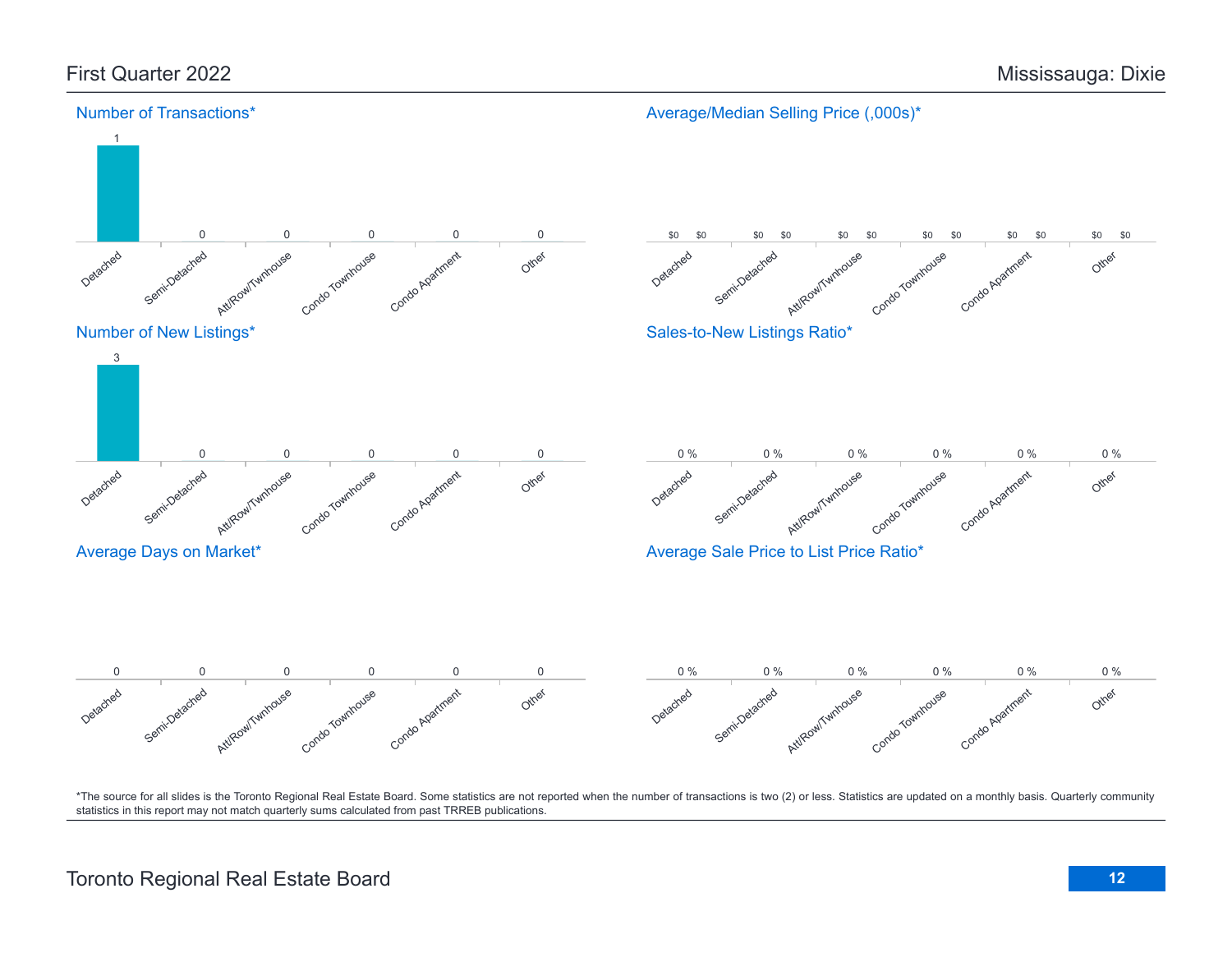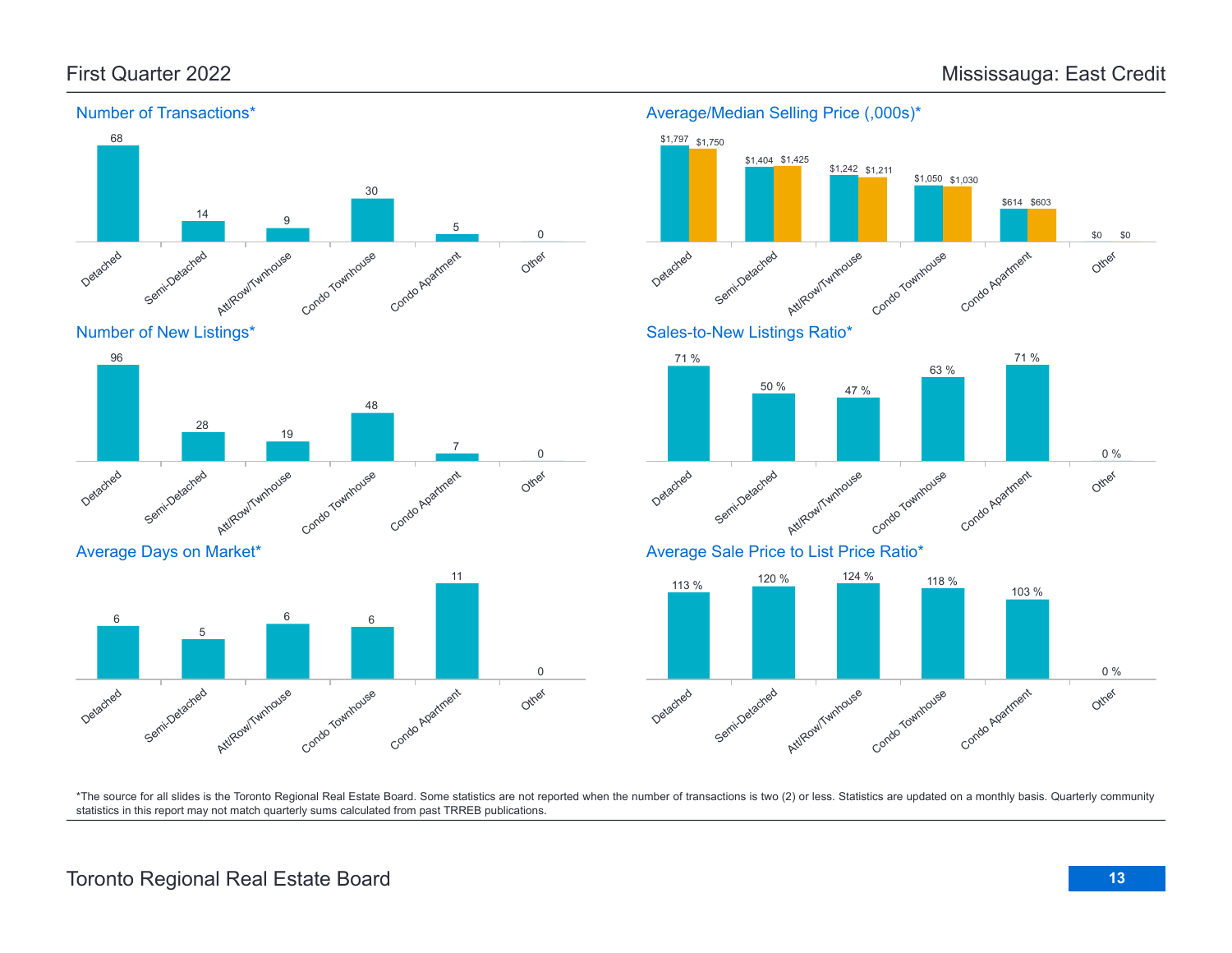Detached

Detached

6

Semi-Detached

Average Days on Market\*

Semi-Detached

5

Att/Row/Twnhouse

Att/Row/Twnhouse



Condo Townhouse

Condo Townhouse

6 6

Condo Apartment

Condo Apatment

7

11

Other

Other

0

0

#### Number of Transactions\*



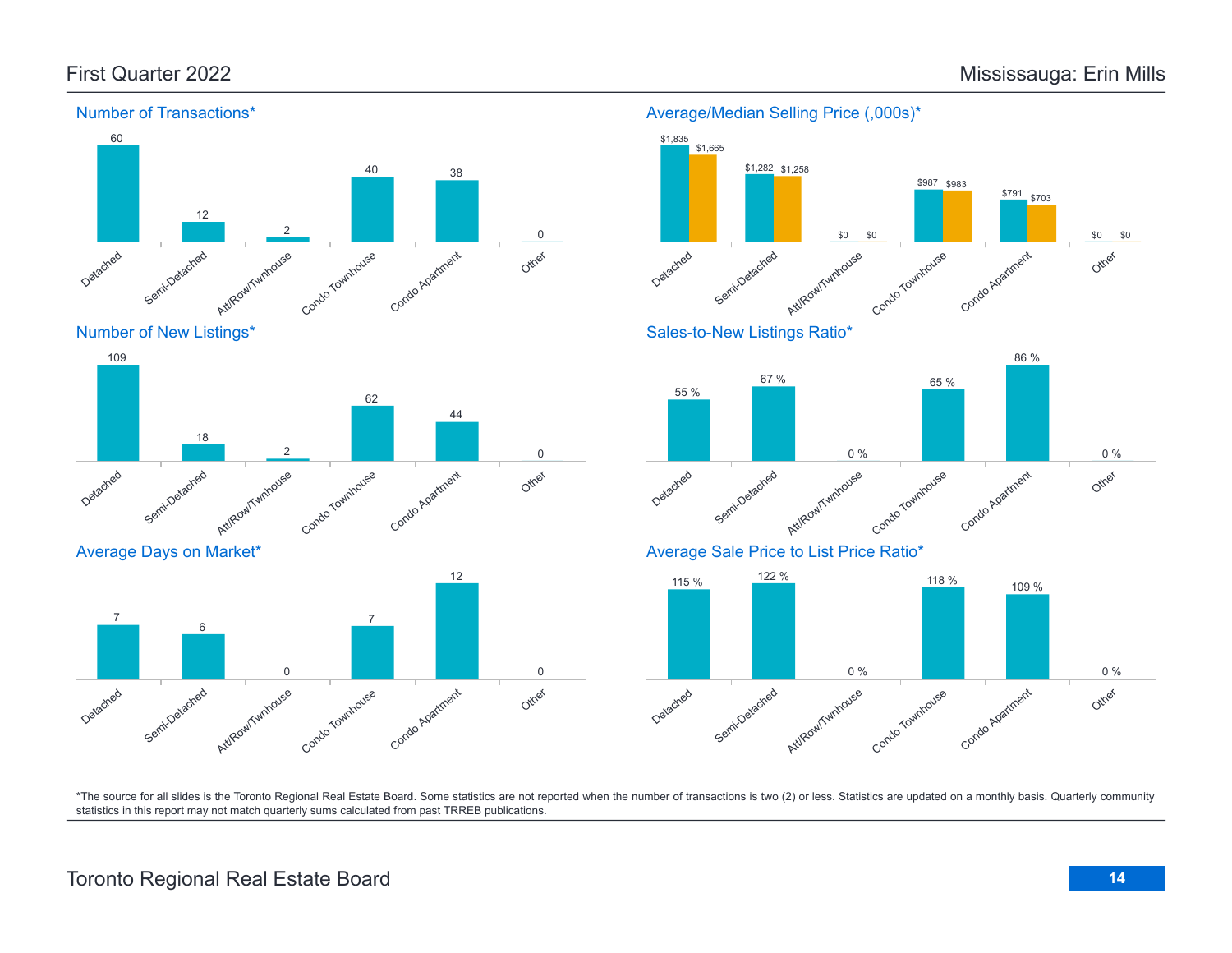

# Number of New Listings\*



### Average Days on Market\*



## Average/Median Selling Price (,000s)\* \$1,835 \$1,282 \$1,258 \$1,665





# Average Sale Price to List Price Ratio\*

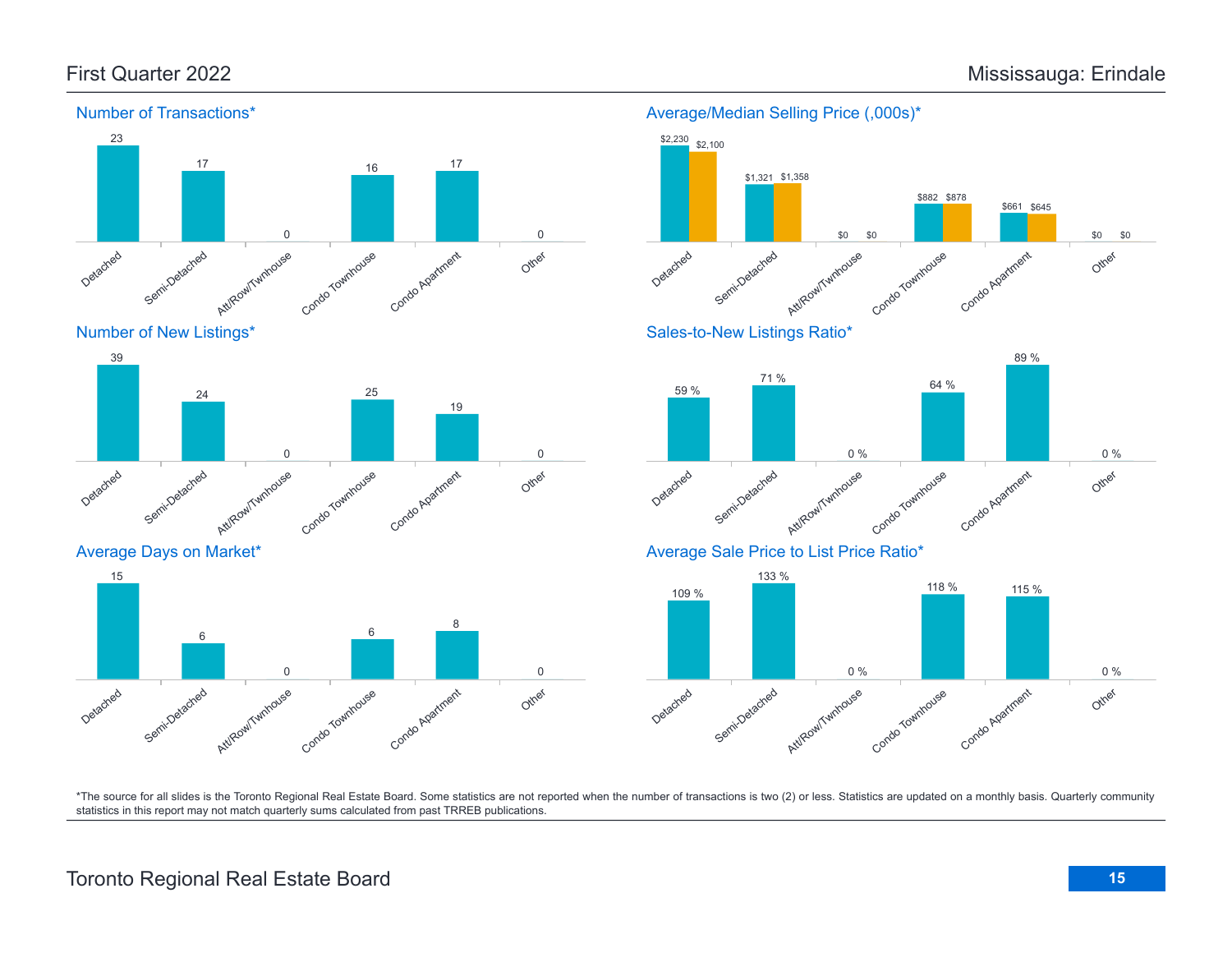Other

Other

Other

0 %

0 %

\$0

\$0

Condo Agatment

Condo Apartment

118 % 115 %

Condo Apartment

\$661 \$645

89 %

\$882 \$878

64 %



#### Number of Transactions\*

\*The source for all slides is the Toronto Regional Real Estate Board. Some statistics are not reported when the number of transactions is two (2) or less. Statistics are updated on a monthly basis. Quarterly community statistics in this report may not match quarterly sums calculated from past TRREB publications.

Detached

Semi-Detached

Att/Row/Twnhouse

Condo Townhouse

Other

# Toronto Regional Real Estate Board **15**

Att/Row/Twnhouse

Condo Townhouse

Condo Agatment

Detached

Semi-Detached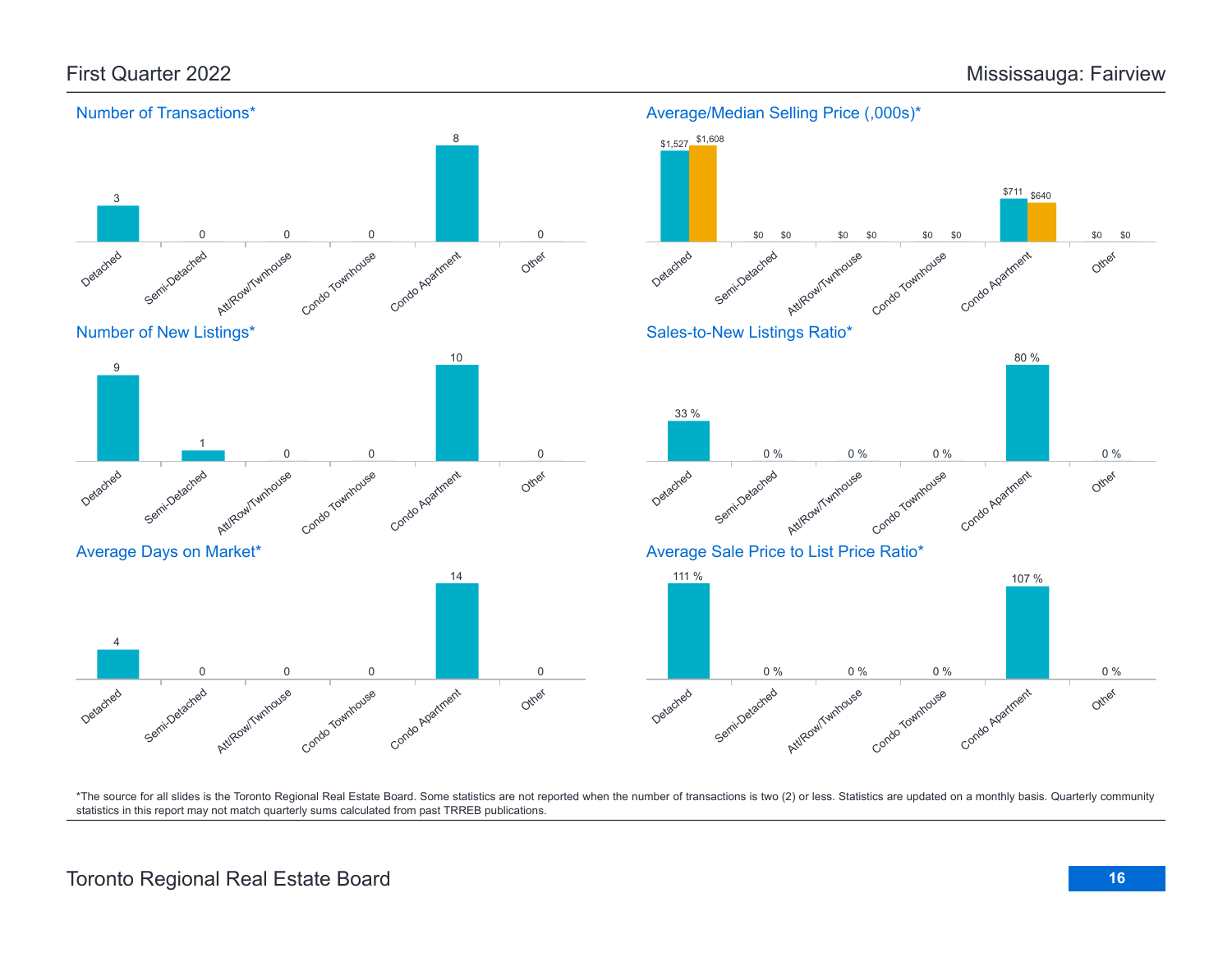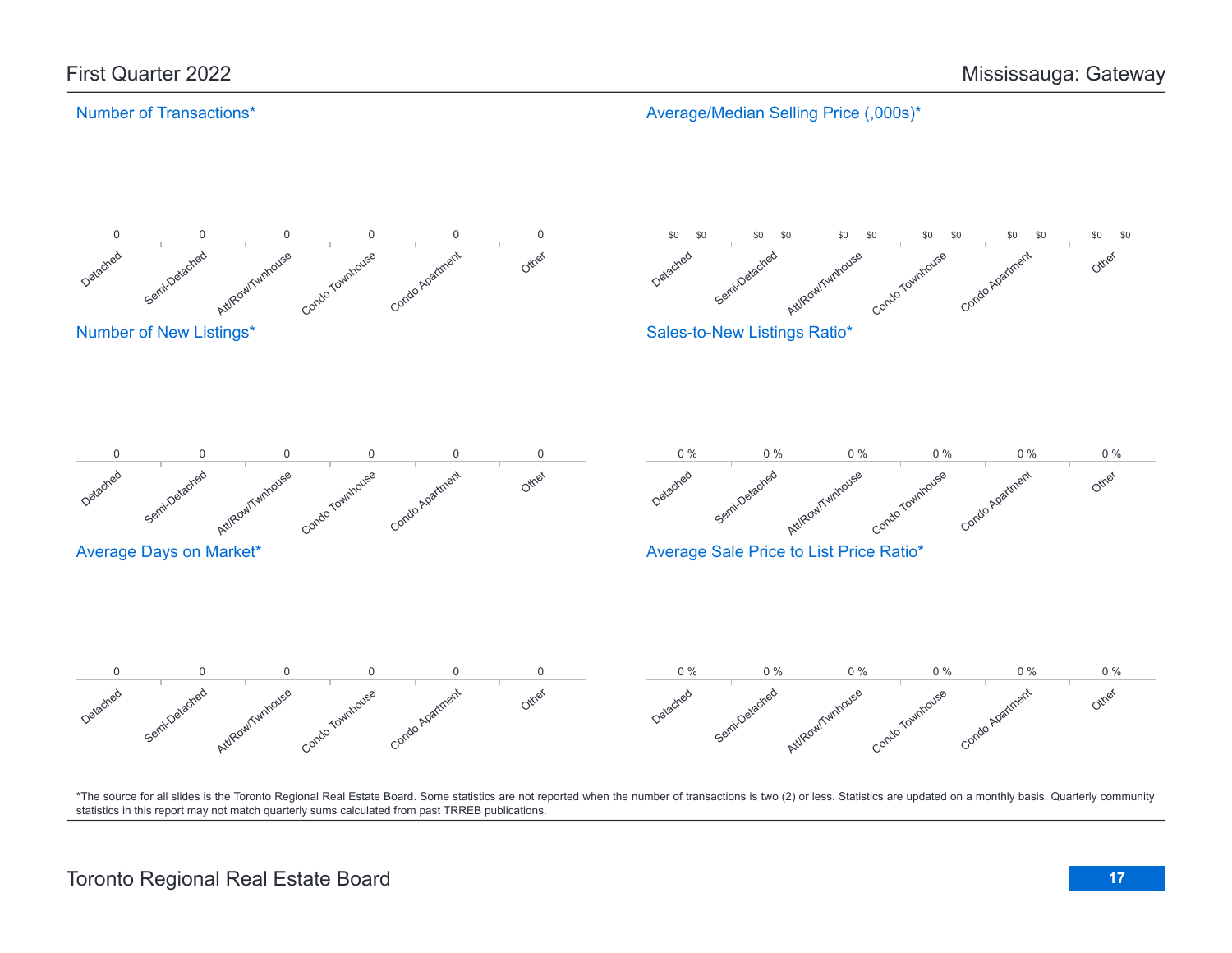# Number of Transactions\*

Average/Median Selling Price (,000s)\*

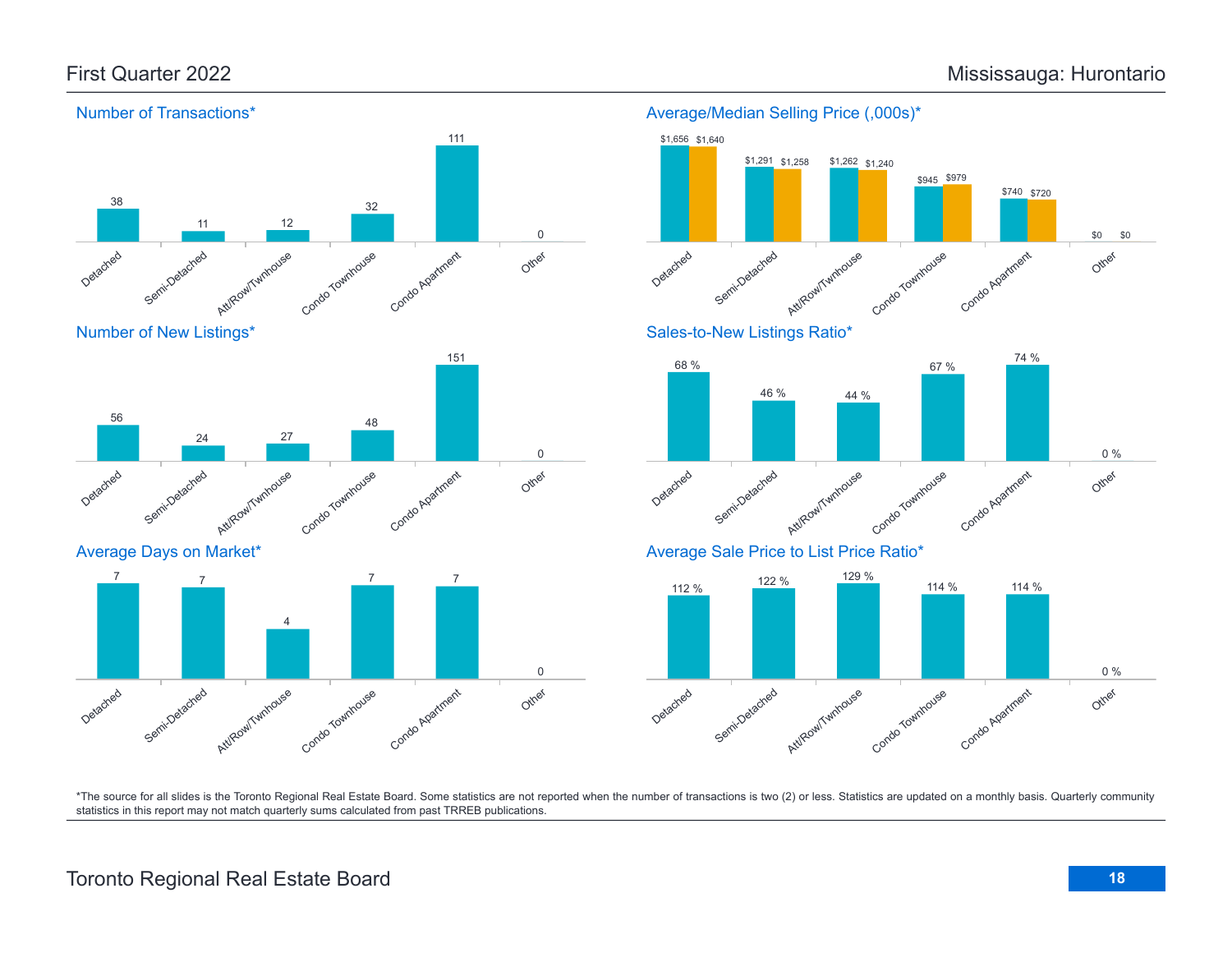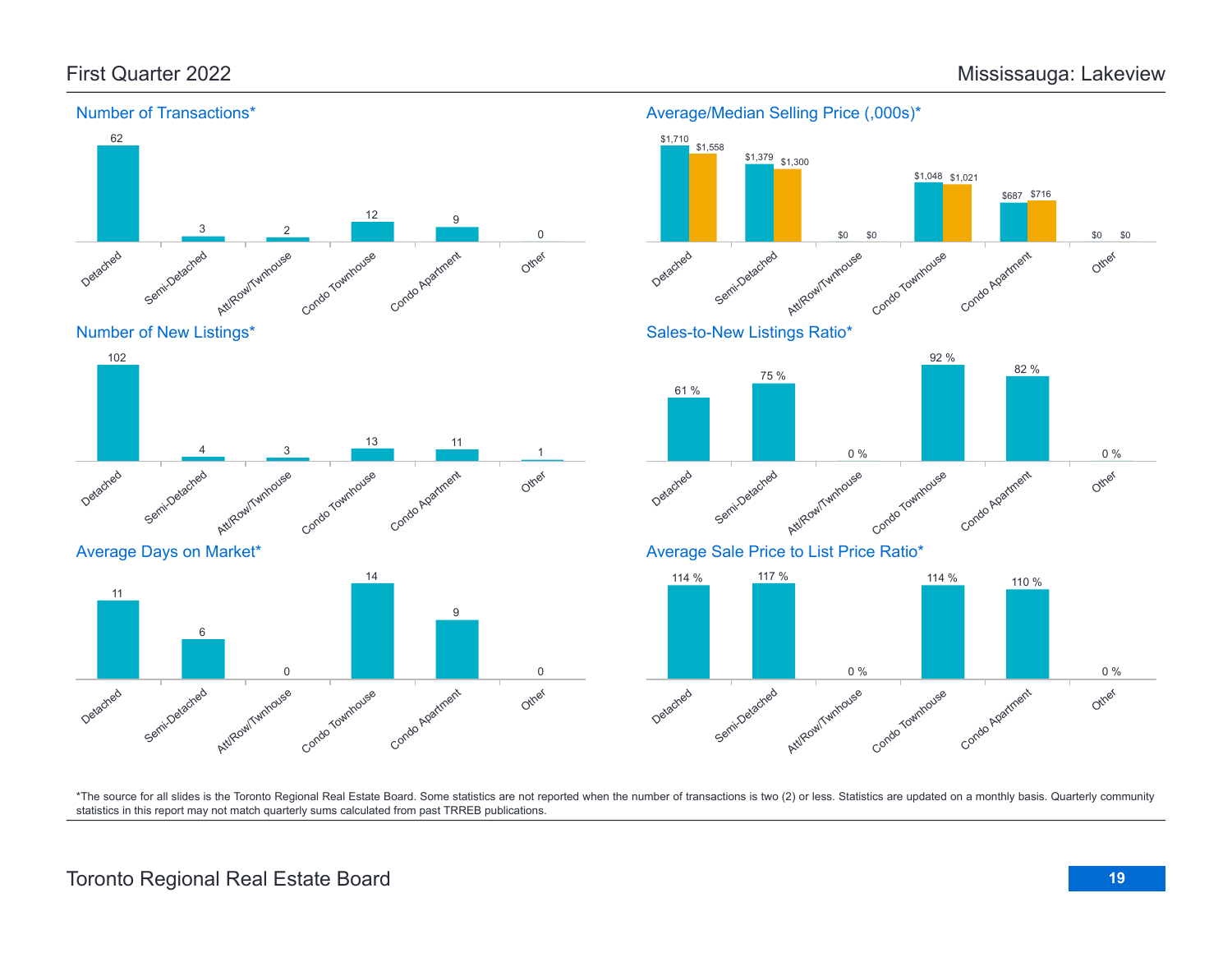

# Average/Median Selling Price (,000s)\*

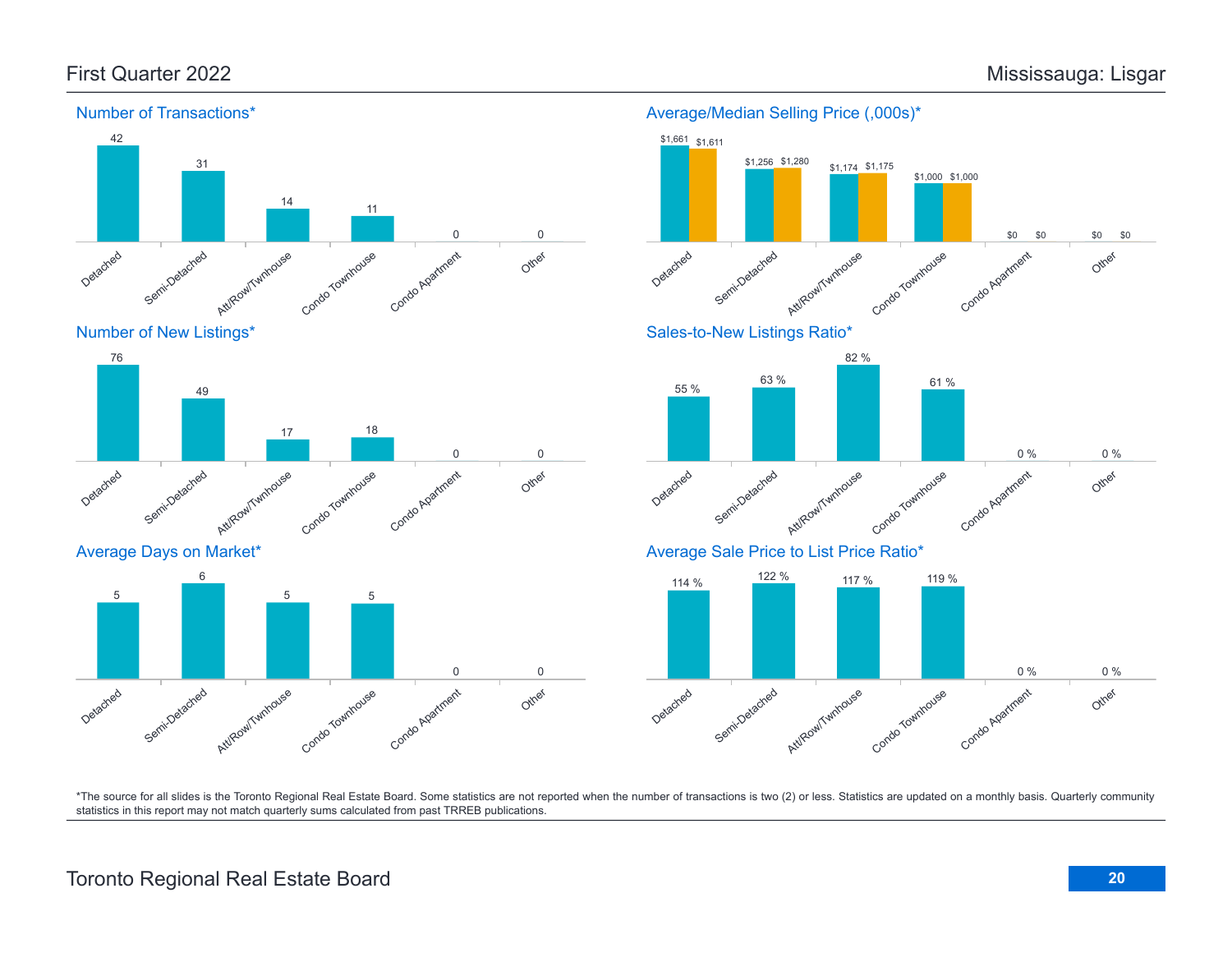

Number of New Listings\*







\*The source for all slides is the Toronto Regional Real Estate Board. Some statistics are not reported when the number of transactions is two (2) or less. Statistics are updated on a monthly basis. Quarterly community statistics in this report may not match quarterly sums calculated from past TRREB publications.

# Toronto Regional Real Estate Board **20**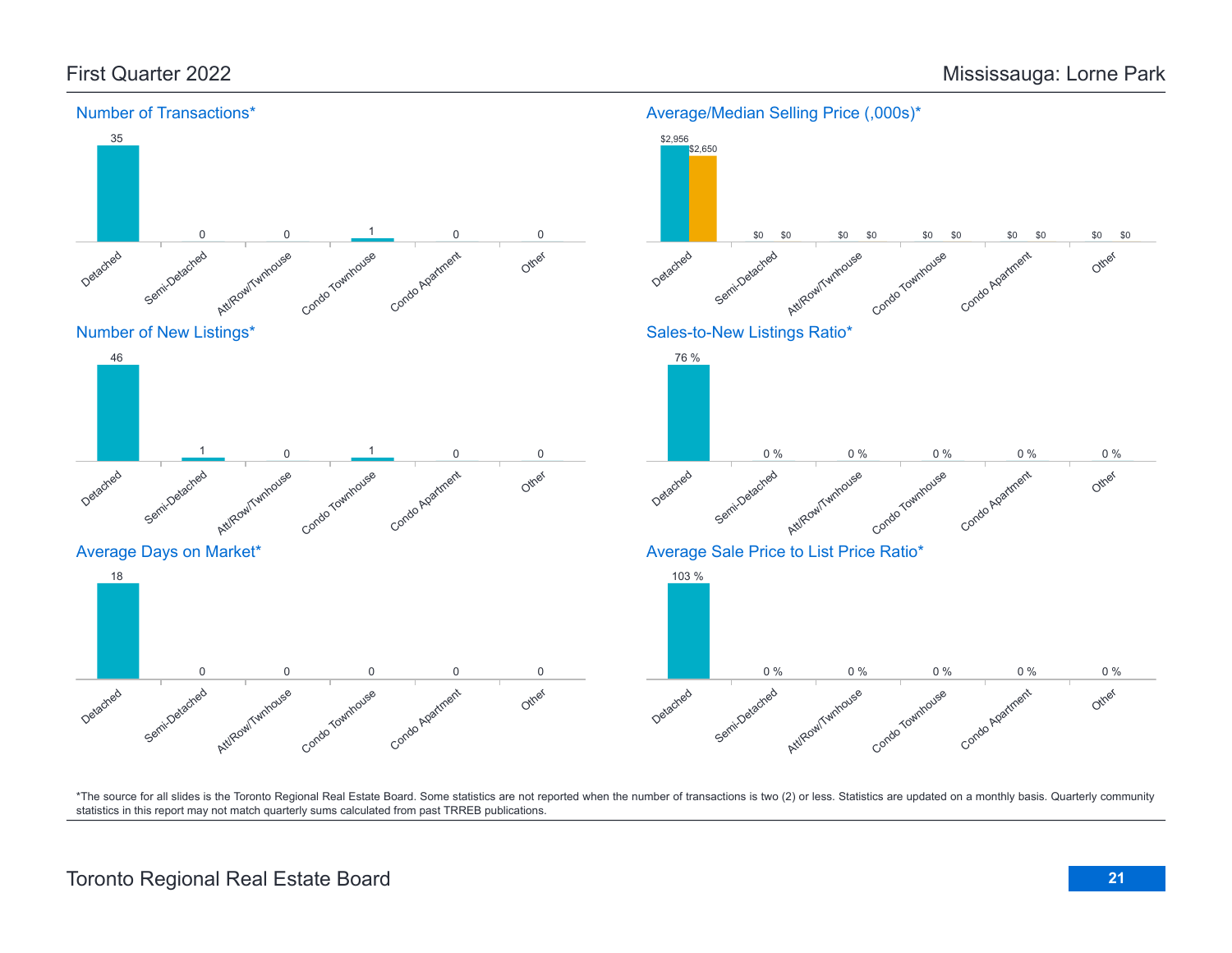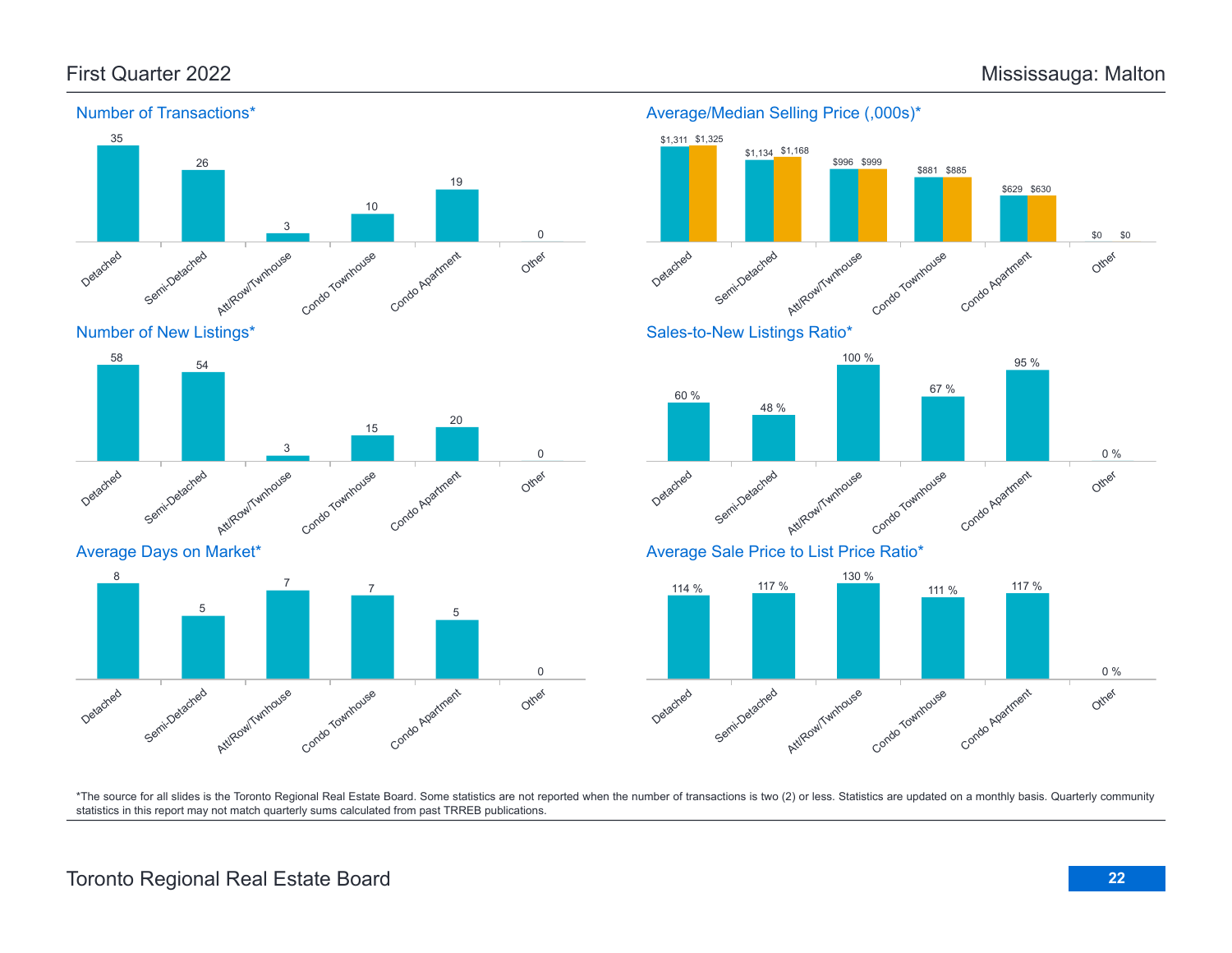

# Toronto Regional Real Estate Board **22**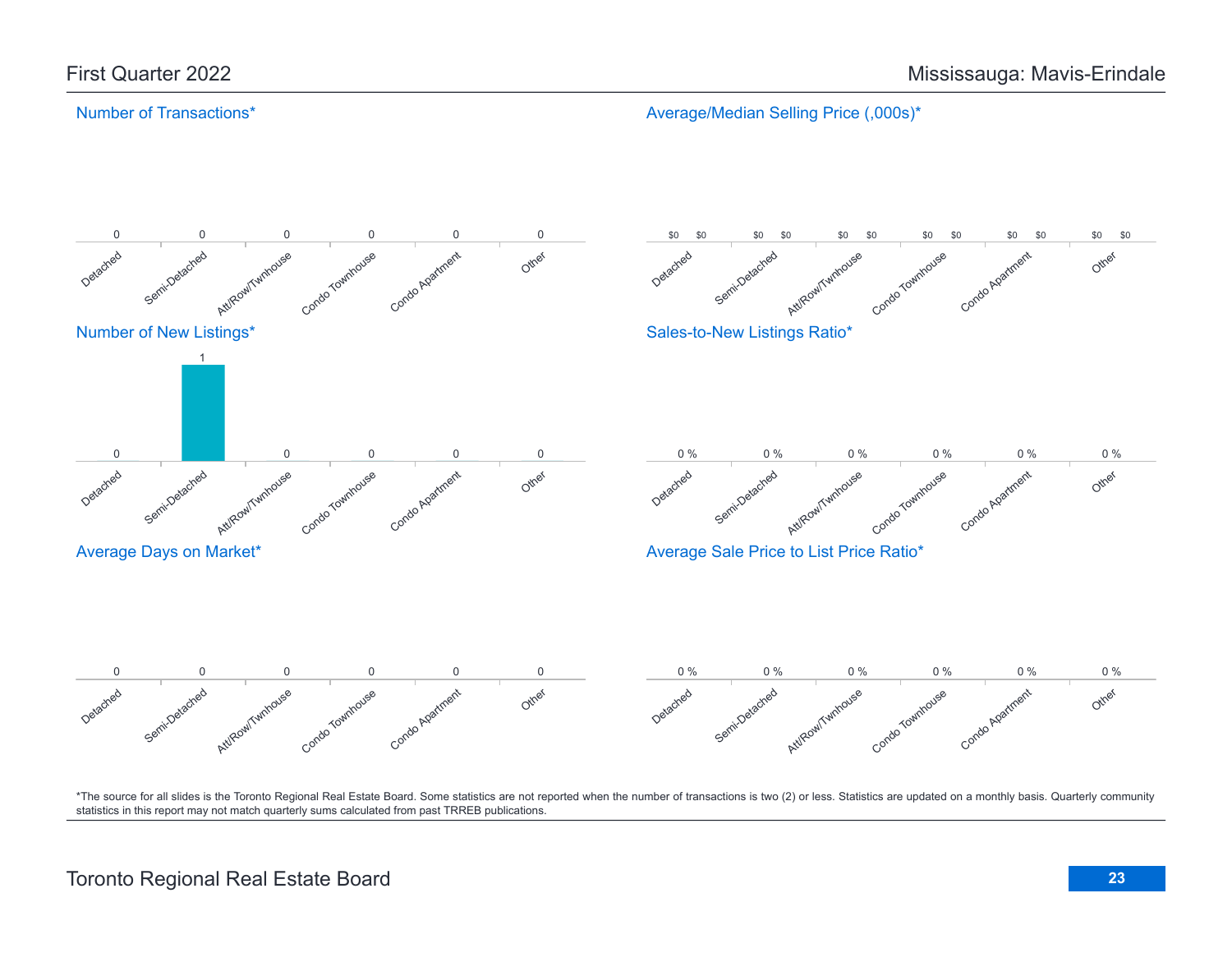# Number of Transactions\*

Average/Median Selling Price (,000s)\*

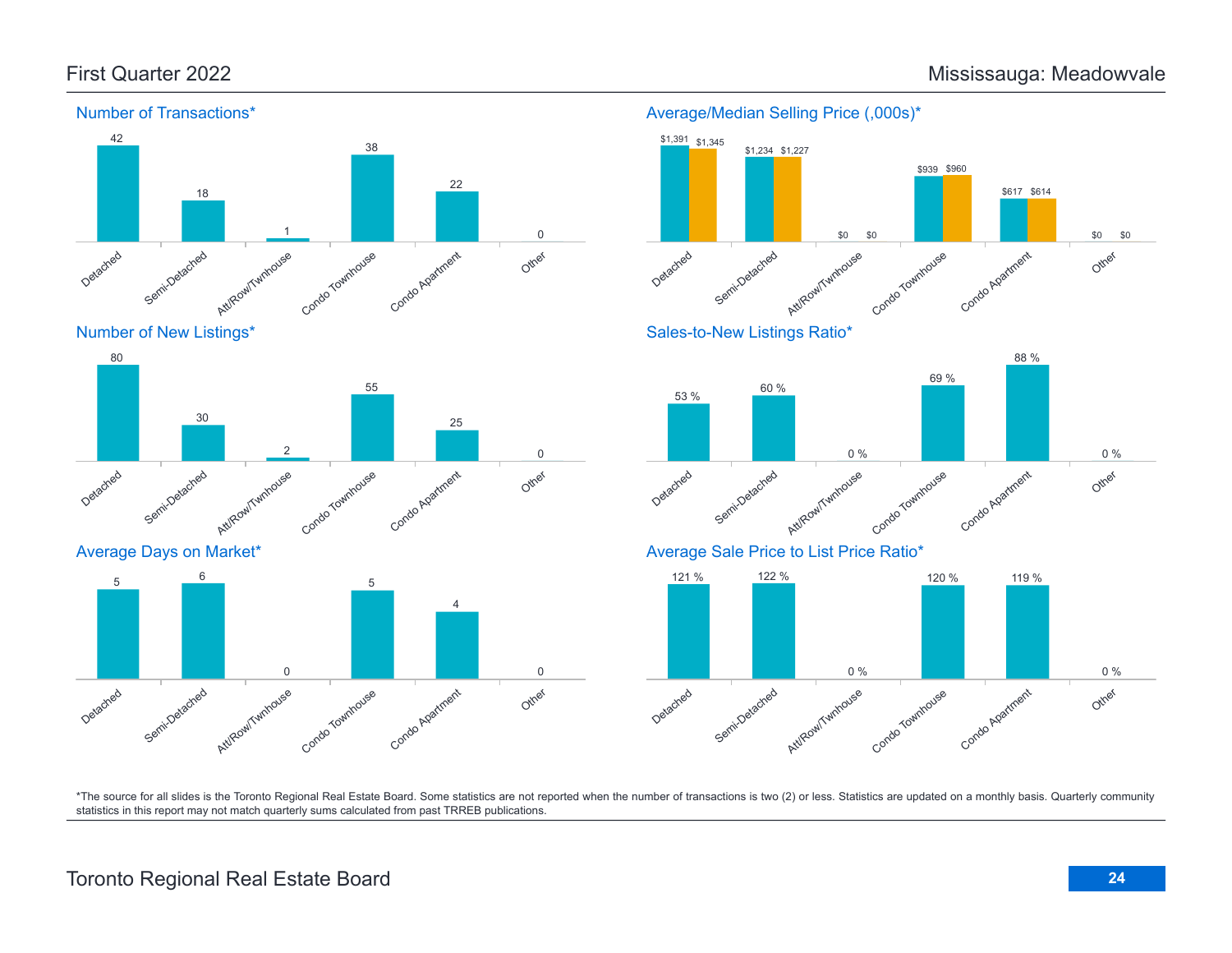

Number of New Listings\*



Average Days on Market\*





Average Sale Price to List Price Ratio\*

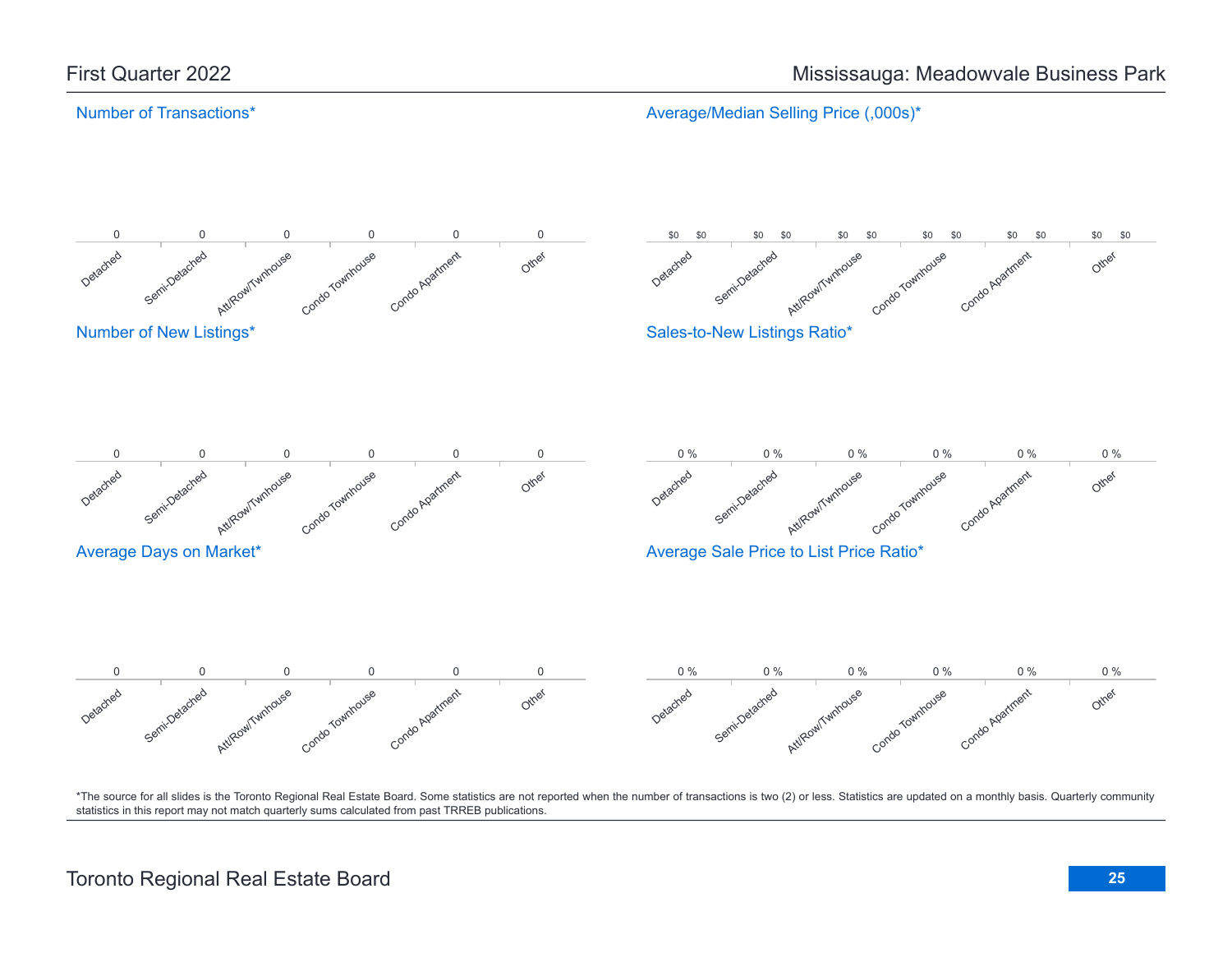# Number of Transactions\*

Average/Median Selling Price (,000s)\*

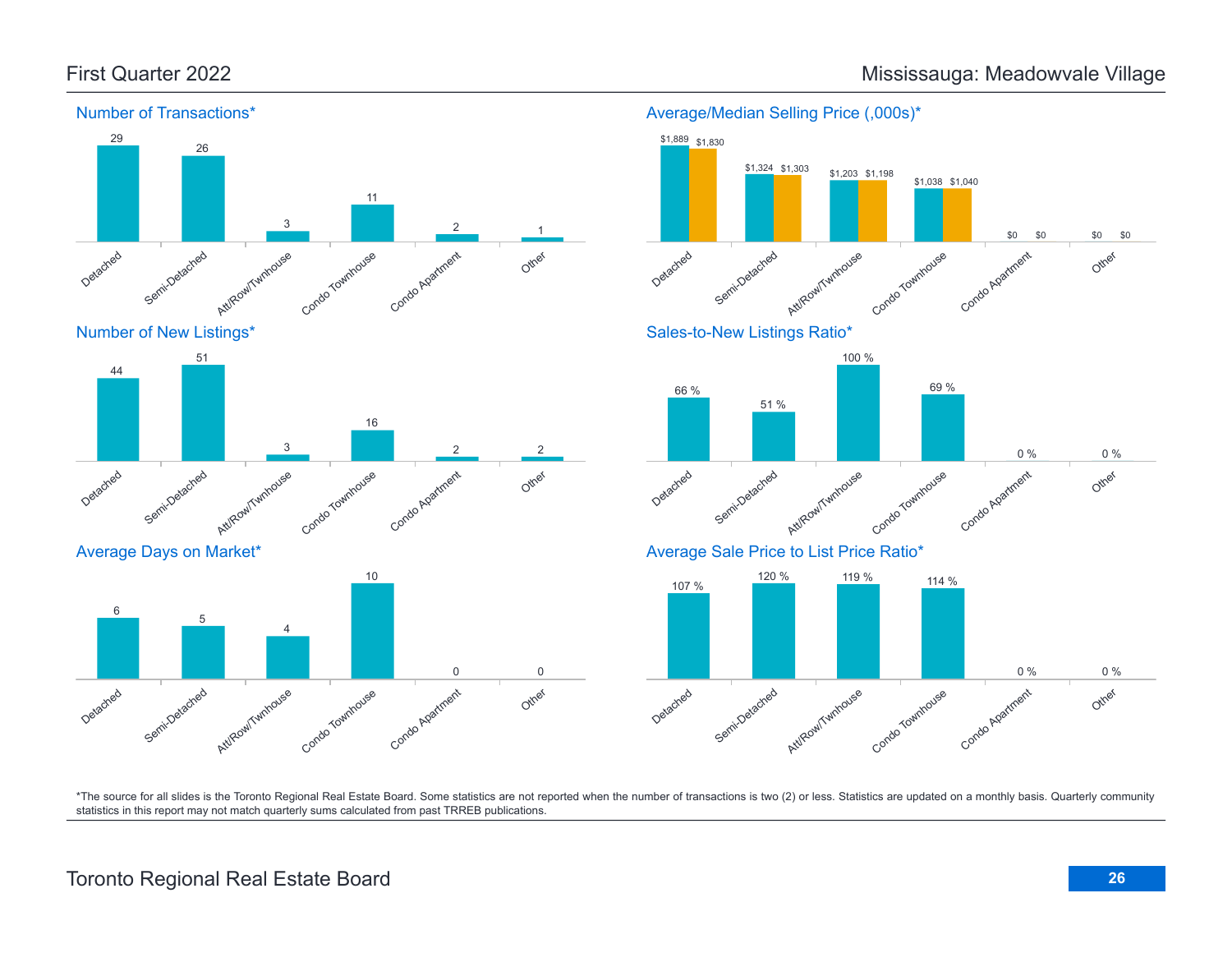Other

Other

Other

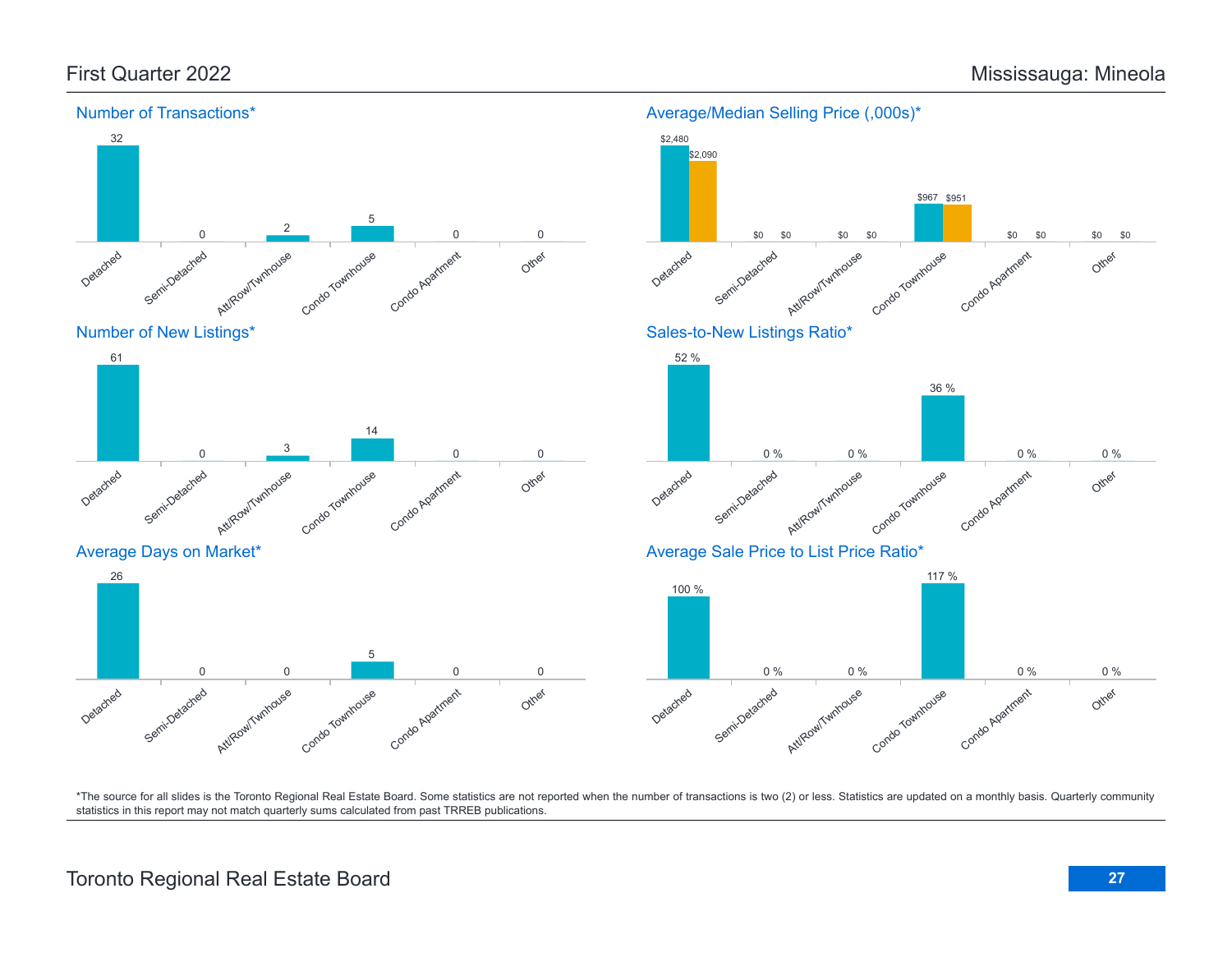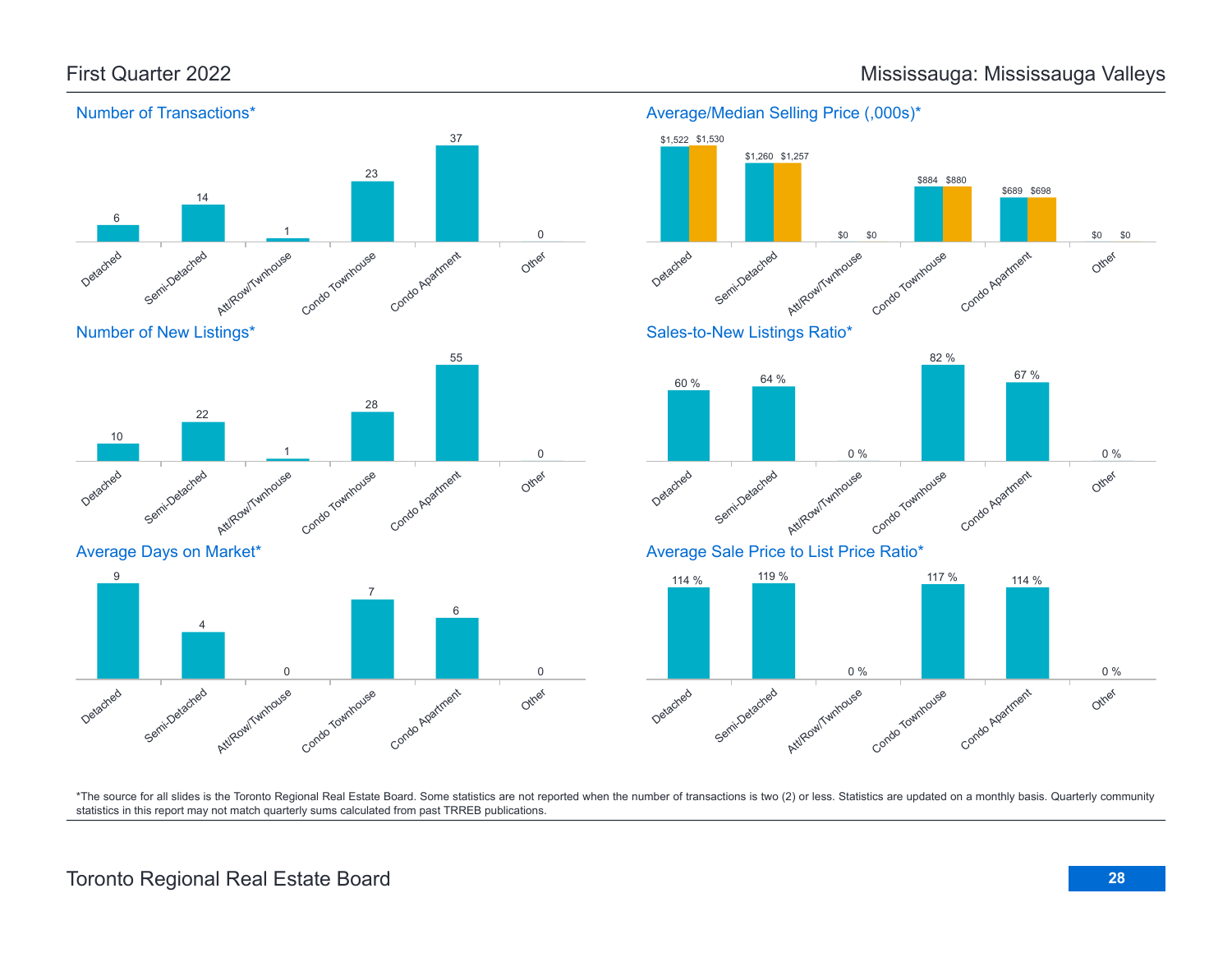

### Average/Median Selling Price (,000s)\*

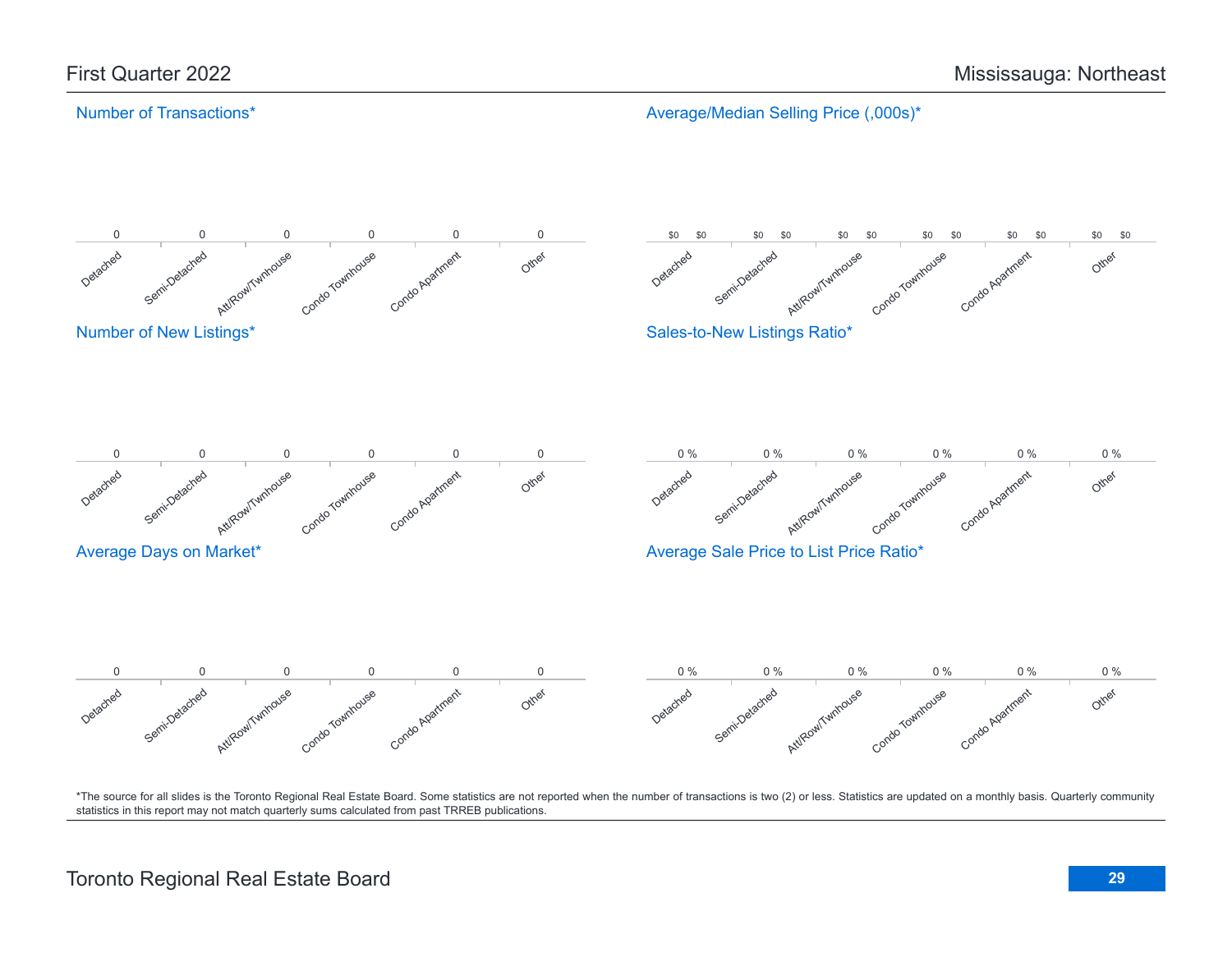# Number of Transactions\*

Average/Median Selling Price (,000s)\*

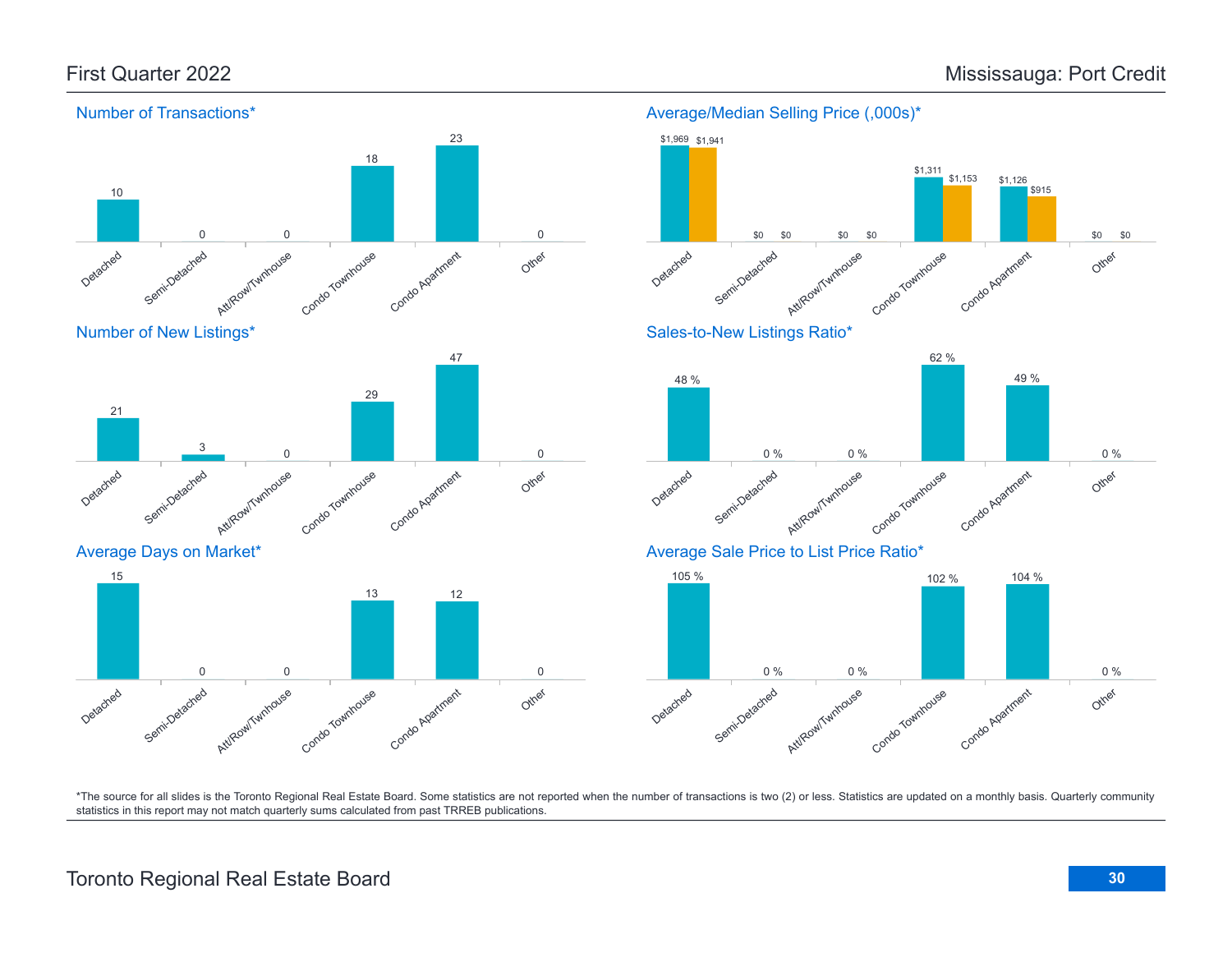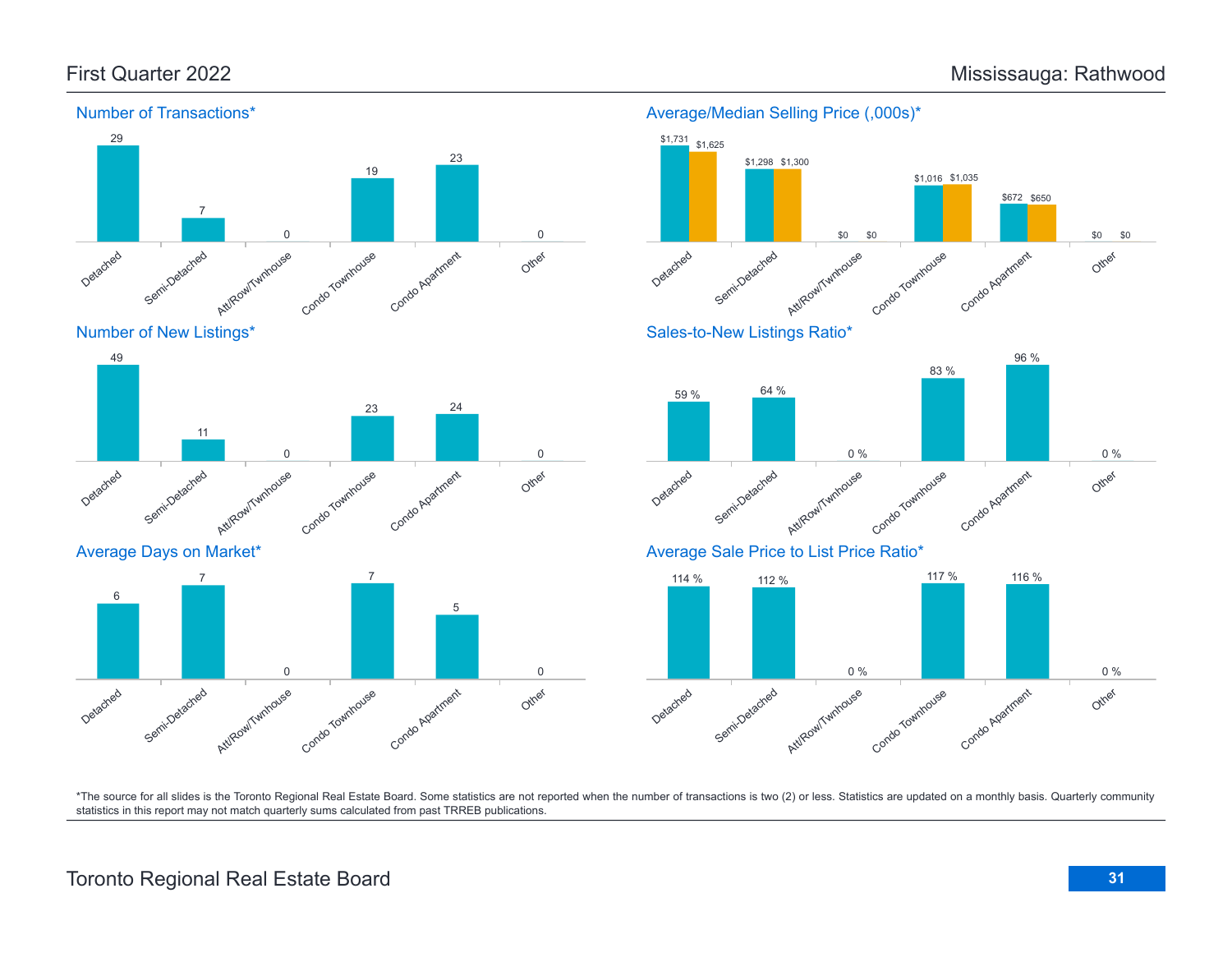

# Number of New Listings\*



# Average Days on Market\*



# Average/Median Selling Price (,000s)\* \$1,625



# Sales-to-New Listings Ratio\*



# Average Sale Price to List Price Ratio\*

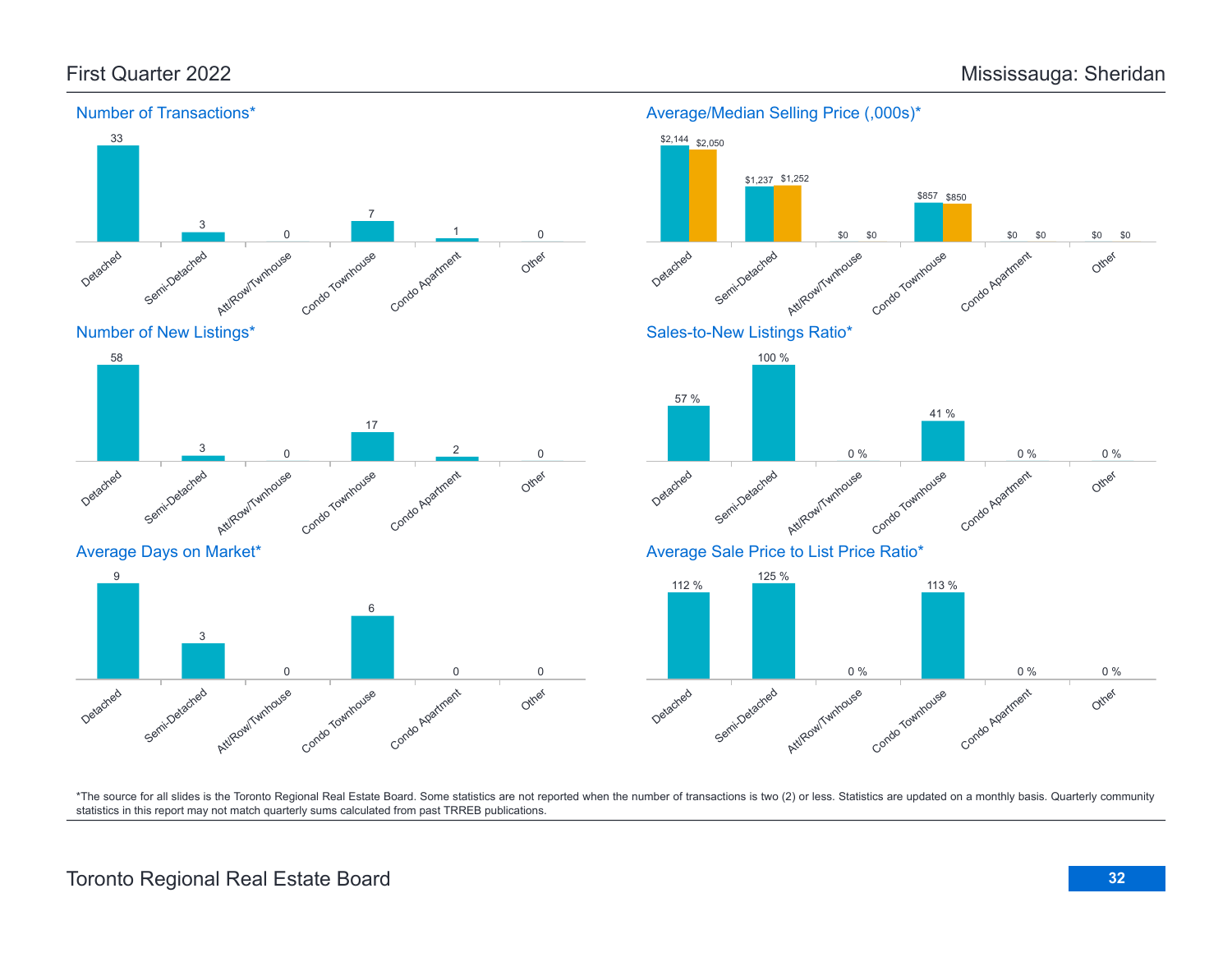

### Average/Median Selling Price (,000s)\*



\*The source for all slides is the Toronto Regional Real Estate Board. Some statistics are not reported when the number of transactions is two (2) or less. Statistics are updated on a monthly basis. Quarterly community statistics in this report may not match quarterly sums calculated from past TRREB publications.

Other

0 0

Att/Row/Twnhouse

0

Condo Townhouse

Condo Apartment

Detached

Semi-Detached

3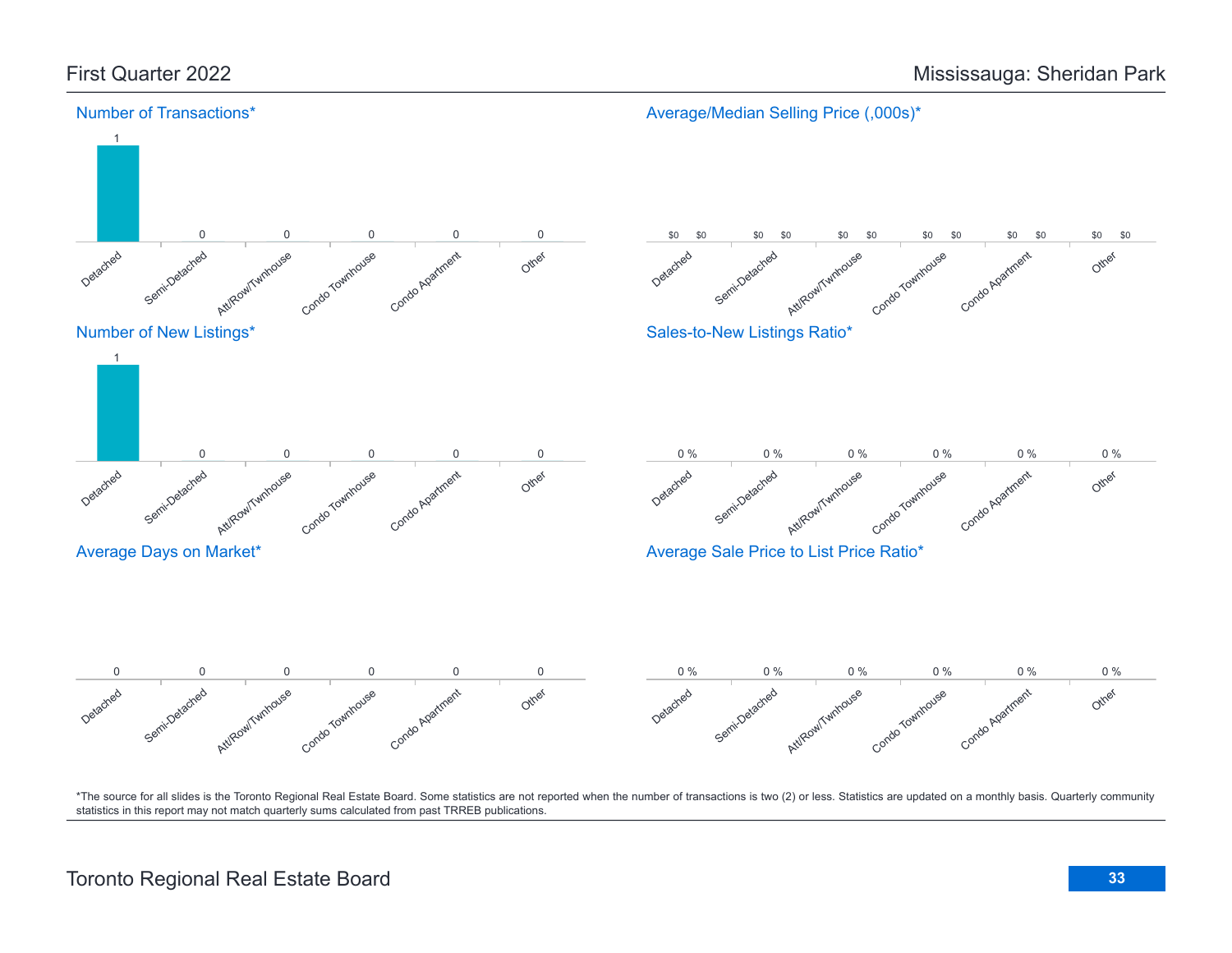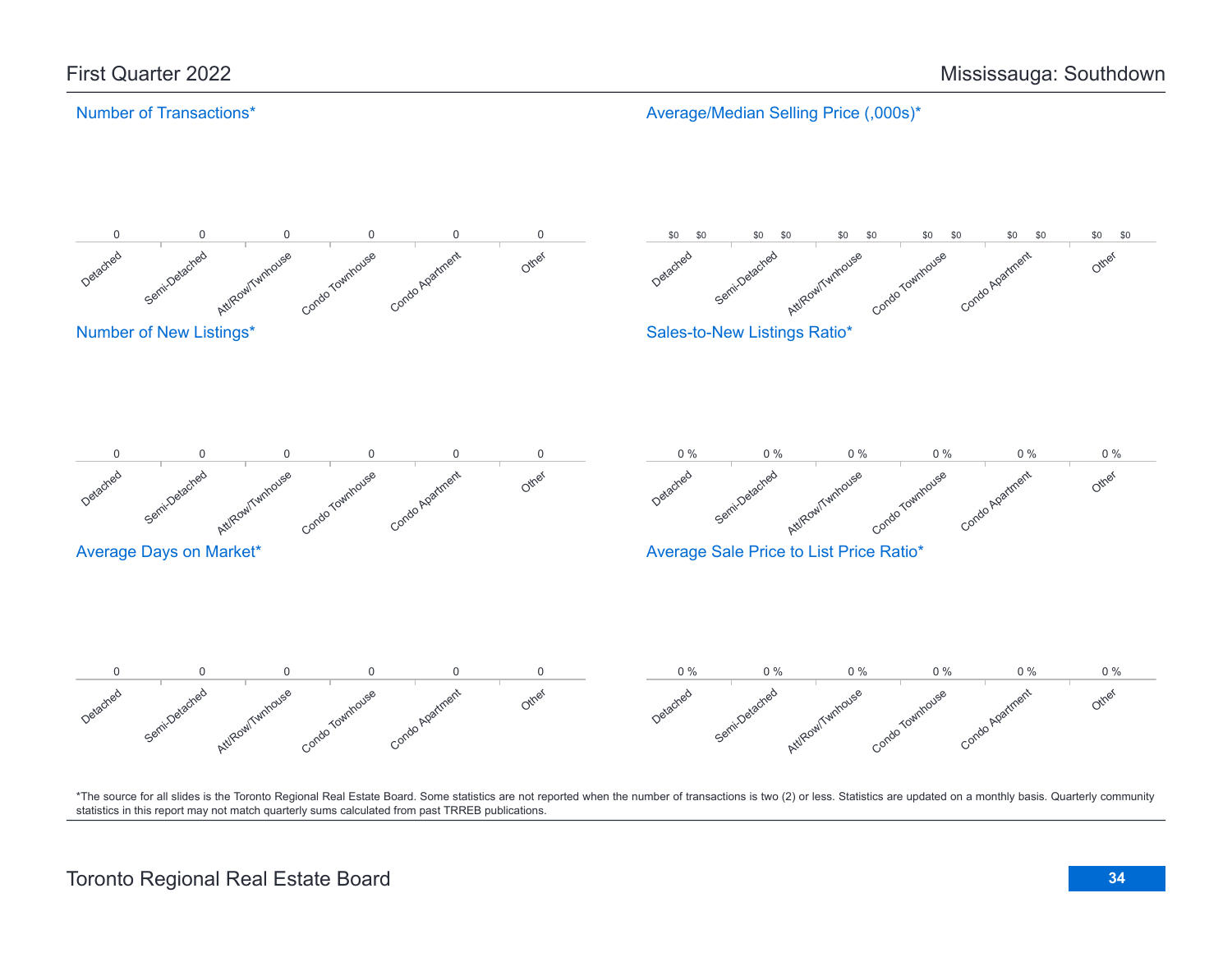# Number of Transactions\*

Average/Median Selling Price (,000s)\*

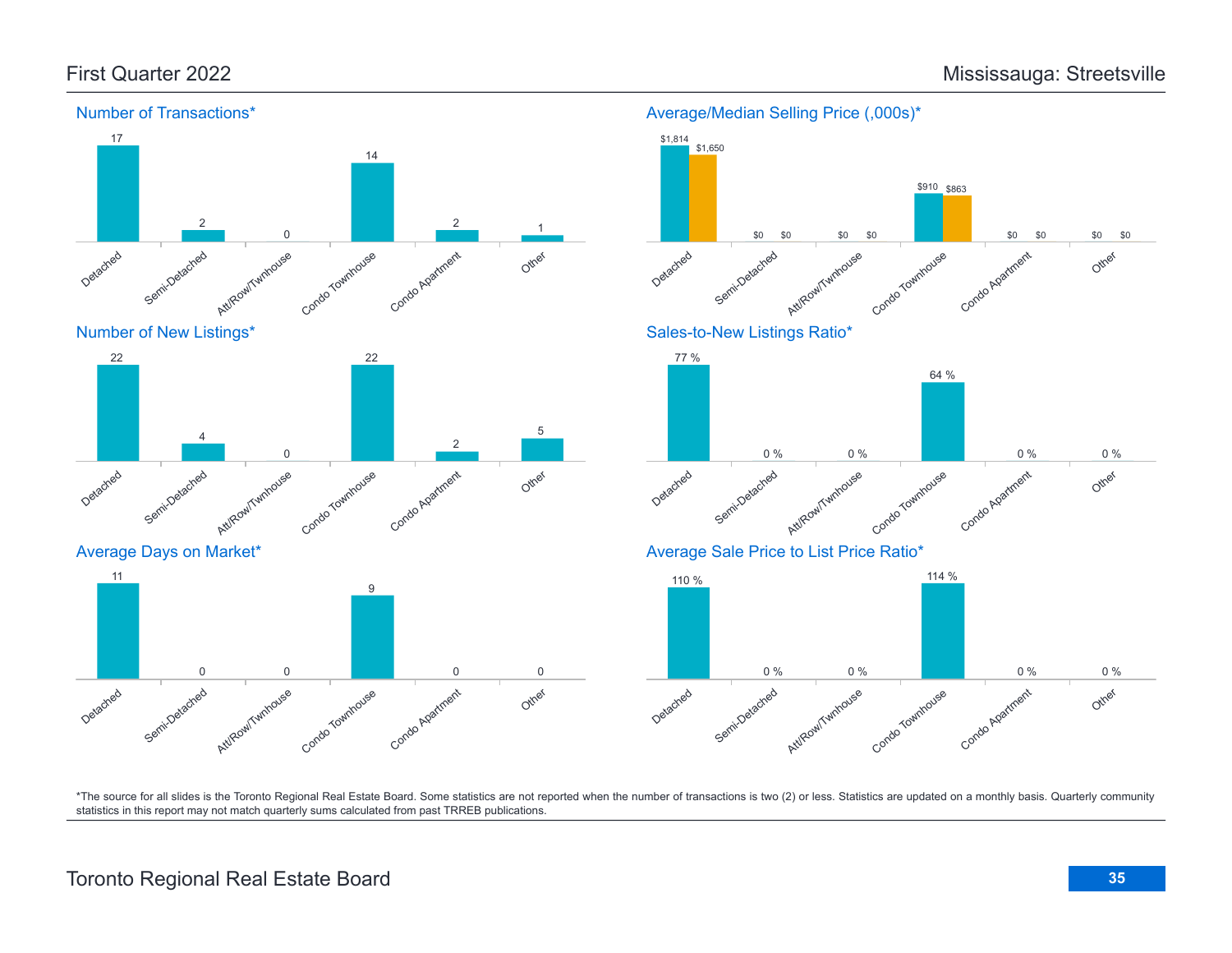